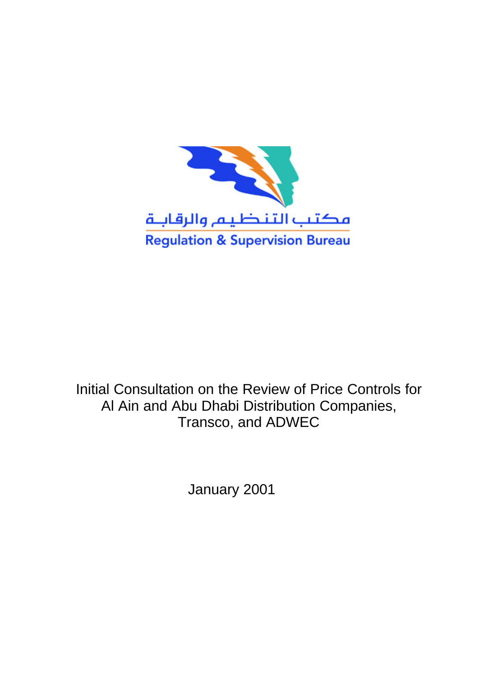

Initial Consultation on the Review of Price Controls for Al Ain and Abu Dhabi Distribution Companies, Transco, and ADWEC

January 2001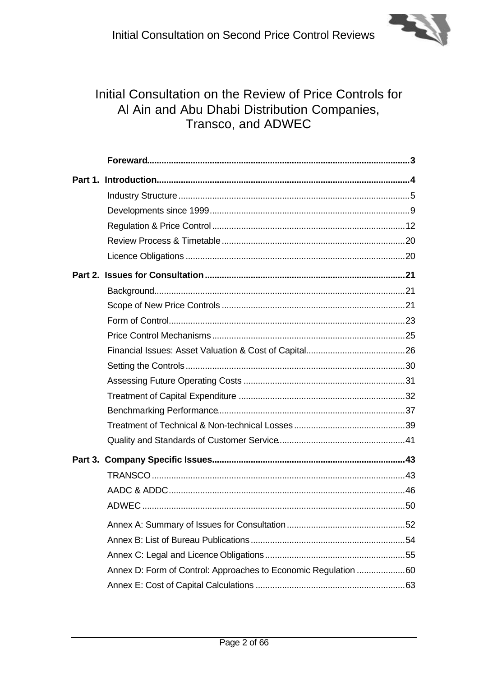

# Initial Consultation on the Review of Price Controls for Al Ain and Abu Dhabi Distribution Companies, Transco, and ADWEC

| Annex D: Form of Control: Approaches to Economic Regulation 60 |  |
|----------------------------------------------------------------|--|
|                                                                |  |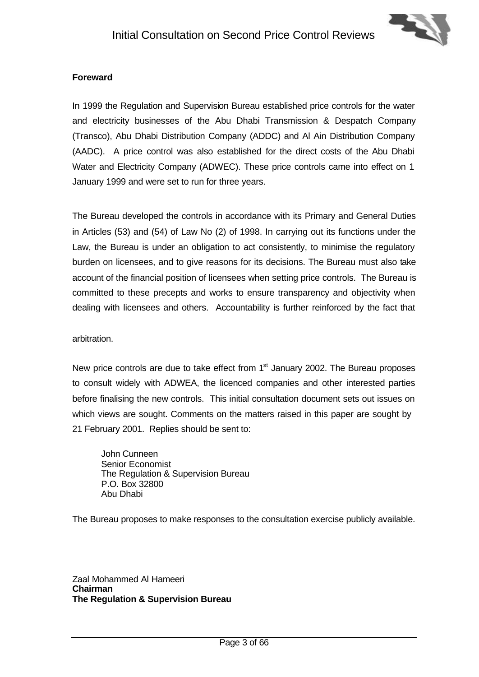

# **Foreward**

In 1999 the Regulation and Supervision Bureau established price controls for the water and electricity businesses of the Abu Dhabi Transmission & Despatch Company (Transco), Abu Dhabi Distribution Company (ADDC) and Al Ain Distribution Company (AADC). A price control was also established for the direct costs of the Abu Dhabi Water and Electricity Company (ADWEC). These price controls came into effect on 1 January 1999 and were set to run for three years.

The Bureau developed the controls in accordance with its Primary and General Duties in Articles (53) and (54) of Law No (2) of 1998. In carrying out its functions under the Law, the Bureau is under an obligation to act consistently, to minimise the regulatory burden on licensees, and to give reasons for its decisions. The Bureau must also take account of the financial position of licensees when setting price controls. The Bureau is committed to these precepts and works to ensure transparency and objectivity when dealing with licensees and others. Accountability is further reinforced by the fact that

arbitration.

New price controls are due to take effect from  $1<sup>st</sup>$  January 2002. The Bureau proposes to consult widely with ADWEA, the licenced companies and other interested parties before finalising the new controls. This initial consultation document sets out issues on which views are sought. Comments on the matters raised in this paper are sought by 21 February 2001. Replies should be sent to:

John Cunneen Senior Economist The Regulation & Supervision Bureau P.O. Box 32800 Abu Dhabi

The Bureau proposes to make responses to the consultation exercise publicly available.

Zaal Mohammed Al Hameeri **Chairman The Regulation & Supervision Bureau**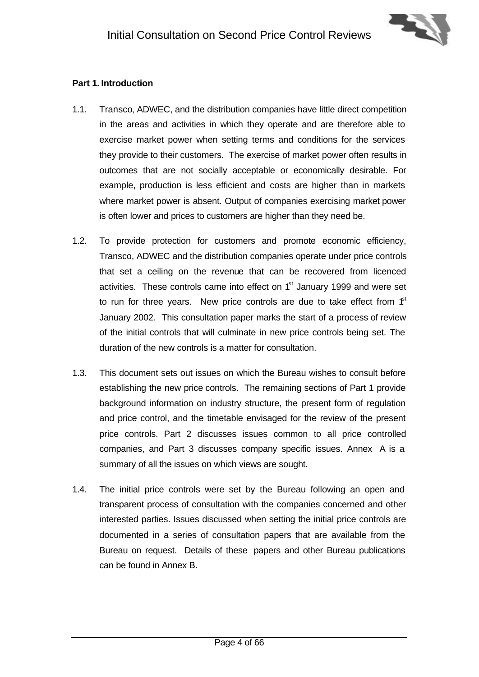

# **Part 1. Introduction**

- 1.1. Transco, ADWEC, and the distribution companies have little direct competition in the areas and activities in which they operate and are therefore able to exercise market power when setting terms and conditions for the services they provide to their customers. The exercise of market power often results in outcomes that are not socially acceptable or economically desirable. For example, production is less efficient and costs are higher than in markets where market power is absent. Output of companies exercising market power is often lower and prices to customers are higher than they need be.
- 1.2. To provide protection for customers and promote economic efficiency, Transco, ADWEC and the distribution companies operate under price controls that set a ceiling on the revenue that can be recovered from licenced activities. These controls came into effect on  $1<sup>st</sup>$  January 1999 and were set to run for three years. New price controls are due to take effect from  $f<sup>st</sup>$ January 2002. This consultation paper marks the start of a process of review of the initial controls that will culminate in new price controls being set. The duration of the new controls is a matter for consultation.
- 1.3. This document sets out issues on which the Bureau wishes to consult before establishing the new price controls. The remaining sections of Part 1 provide background information on industry structure, the present form of regulation and price control, and the timetable envisaged for the review of the present price controls. Part 2 discusses issues common to all price controlled companies, and Part 3 discusses company specific issues. Annex A is a summary of all the issues on which views are sought.
- 1.4. The initial price controls were set by the Bureau following an open and transparent process of consultation with the companies concerned and other interested parties. Issues discussed when setting the initial price controls are documented in a series of consultation papers that are available from the Bureau on request. Details of these papers and other Bureau publications can be found in Annex B.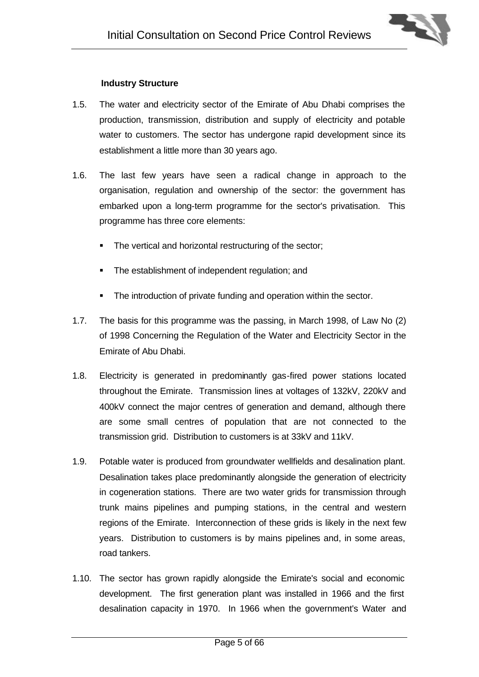

#### **Industry Structure**

- 1.5. The water and electricity sector of the Emirate of Abu Dhabi comprises the production, transmission, distribution and supply of electricity and potable water to customers. The sector has undergone rapid development since its establishment a little more than 30 years ago.
- 1.6. The last few years have seen a radical change in approach to the organisation, regulation and ownership of the sector: the government has embarked upon a long-term programme for the sector's privatisation. This programme has three core elements:
	- The vertical and horizontal restructuring of the sector;
	- The establishment of independent regulation; and
	- The introduction of private funding and operation within the sector.
- 1.7. The basis for this programme was the passing, in March 1998, of Law No (2) of 1998 Concerning the Regulation of the Water and Electricity Sector in the Emirate of Abu Dhabi.
- 1.8. Electricity is generated in predominantly gas-fired power stations located throughout the Emirate. Transmission lines at voltages of 132kV, 220kV and 400kV connect the major centres of generation and demand, although there are some small centres of population that are not connected to the transmission grid. Distribution to customers is at 33kV and 11kV.
- 1.9. Potable water is produced from groundwater wellfields and desalination plant. Desalination takes place predominantly alongside the generation of electricity in cogeneration stations. There are two water grids for transmission through trunk mains pipelines and pumping stations, in the central and western regions of the Emirate. Interconnection of these grids is likely in the next few years. Distribution to customers is by mains pipelines and, in some areas, road tankers.
- 1.10. The sector has grown rapidly alongside the Emirate's social and economic development. The first generation plant was installed in 1966 and the first desalination capacity in 1970. In 1966 when the government's Water and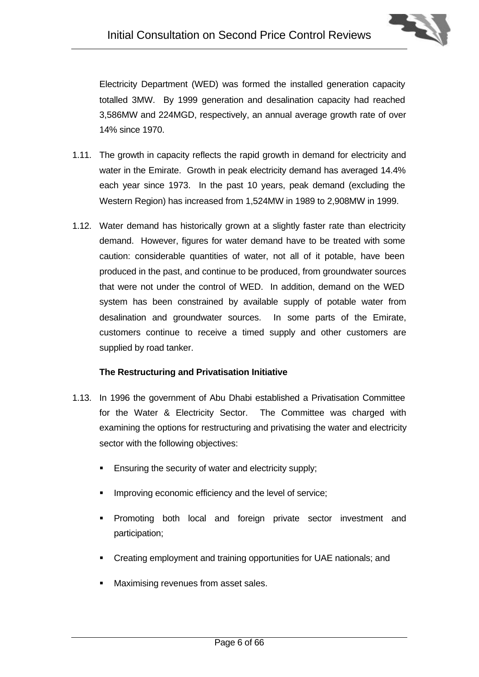

Electricity Department (WED) was formed the installed generation capacity totalled 3MW. By 1999 generation and desalination capacity had reached 3,586MW and 224MGD, respectively, an annual average growth rate of over 14% since 1970.

- 1.11. The growth in capacity reflects the rapid growth in demand for electricity and water in the Emirate. Growth in peak electricity demand has averaged 14.4% each year since 1973. In the past 10 years, peak demand (excluding the Western Region) has increased from 1,524MW in 1989 to 2,908MW in 1999.
- 1.12. Water demand has historically grown at a slightly faster rate than electricity demand. However, figures for water demand have to be treated with some caution: considerable quantities of water, not all of it potable, have been produced in the past, and continue to be produced, from groundwater sources that were not under the control of WED. In addition, demand on the WED system has been constrained by available supply of potable water from desalination and groundwater sources. In some parts of the Emirate, customers continue to receive a timed supply and other customers are supplied by road tanker.

# **The Restructuring and Privatisation Initiative**

- 1.13. In 1996 the government of Abu Dhabi established a Privatisation Committee for the Water & Electricity Sector. The Committee was charged with examining the options for restructuring and privatising the water and electricity sector with the following objectives:
	- ß Ensuring the security of water and electricity supply;
	- Improving economic efficiency and the level of service;
	- **•** Promoting both local and foreign private sector investment and participation;
	- **•** Creating employment and training opportunities for UAE nationals; and
	- ß Maximising revenues from asset sales.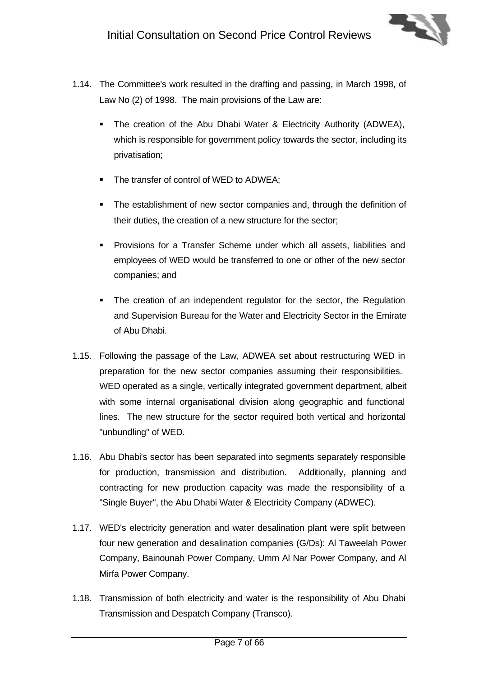

- 1.14. The Committee's work resulted in the drafting and passing, in March 1998, of Law No (2) of 1998. The main provisions of the Law are:
	- ß The creation of the Abu Dhabi Water & Electricity Authority (ADWEA), which is responsible for government policy towards the sector, including its privatisation;
	- The transfer of control of WED to ADWEA;
	- The establishment of new sector companies and, through the definition of their duties, the creation of a new structure for the sector;
	- **•** Provisions for a Transfer Scheme under which all assets, liabilities and employees of WED would be transferred to one or other of the new sector companies; and
	- The creation of an independent regulator for the sector, the Regulation and Supervision Bureau for the Water and Electricity Sector in the Emirate of Abu Dhabi.
- 1.15. Following the passage of the Law, ADWEA set about restructuring WED in preparation for the new sector companies assuming their responsibilities. WED operated as a single, vertically integrated government department, albeit with some internal organisational division along geographic and functional lines. The new structure for the sector required both vertical and horizontal "unbundling" of WED.
- 1.16. Abu Dhabi's sector has been separated into segments separately responsible for production, transmission and distribution. Additionally, planning and contracting for new production capacity was made the responsibility of a "Single Buyer", the Abu Dhabi Water & Electricity Company (ADWEC).
- 1.17. WED's electricity generation and water desalination plant were split between four new generation and desalination companies (G/Ds): Al Taweelah Power Company, Bainounah Power Company, Umm Al Nar Power Company, and Al Mirfa Power Company.
- 1.18. Transmission of both electricity and water is the responsibility of Abu Dhabi Transmission and Despatch Company (Transco).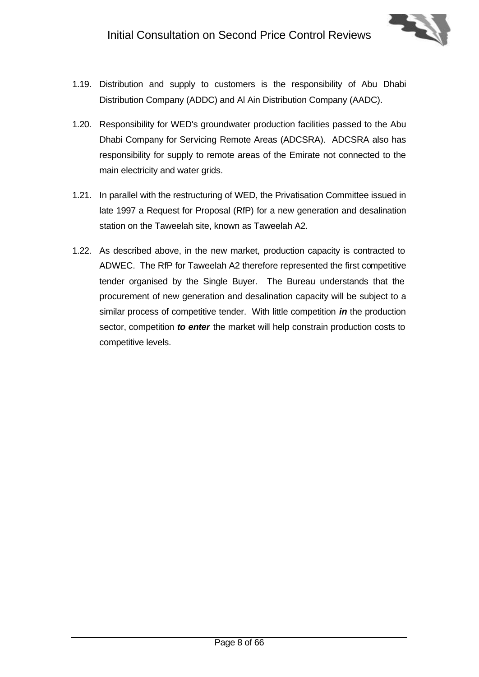

- 1.19. Distribution and supply to customers is the responsibility of Abu Dhabi Distribution Company (ADDC) and Al Ain Distribution Company (AADC).
- 1.20. Responsibility for WED's groundwater production facilities passed to the Abu Dhabi Company for Servicing Remote Areas (ADCSRA). ADCSRA also has responsibility for supply to remote areas of the Emirate not connected to the main electricity and water grids.
- 1.21. In parallel with the restructuring of WED, the Privatisation Committee issued in late 1997 a Request for Proposal (RfP) for a new generation and desalination station on the Taweelah site, known as Taweelah A2.
- 1.22. As described above, in the new market, production capacity is contracted to ADWEC. The RfP for Taweelah A2 therefore represented the first competitive tender organised by the Single Buyer. The Bureau understands that the procurement of new generation and desalination capacity will be subject to a similar process of competitive tender. With little competition *in* the production sector, competition *to enter* the market will help constrain production costs to competitive levels.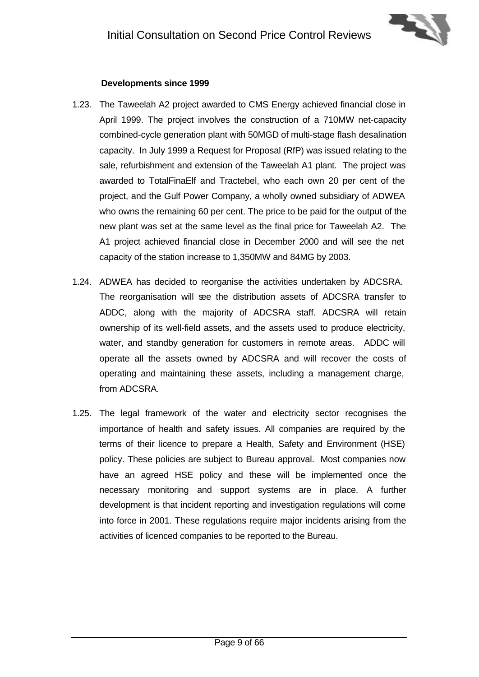

#### **Developments since 1999**

- 1.23. The Taweelah A2 project awarded to CMS Energy achieved financial close in April 1999. The project involves the construction of a 710MW net-capacity combined-cycle generation plant with 50MGD of multi-stage flash desalination capacity. In July 1999 a Request for Proposal (RfP) was issued relating to the sale, refurbishment and extension of the Taweelah A1 plant. The project was awarded to TotalFinaElf and Tractebel, who each own 20 per cent of the project, and the Gulf Power Company, a wholly owned subsidiary of ADWEA who owns the remaining 60 per cent. The price to be paid for the output of the new plant was set at the same level as the final price for Taweelah A2. The A1 project achieved financial close in December 2000 and will see the net capacity of the station increase to 1,350MW and 84MG by 2003.
- 1.24. ADWEA has decided to reorganise the activities undertaken by ADCSRA. The reorganisation will see the distribution assets of ADCSRA transfer to ADDC, along with the majority of ADCSRA staff. ADCSRA will retain ownership of its well-field assets, and the assets used to produce electricity, water, and standby generation for customers in remote areas. ADDC will operate all the assets owned by ADCSRA and will recover the costs of operating and maintaining these assets, including a management charge, from ADCSRA.
- 1.25. The legal framework of the water and electricity sector recognises the importance of health and safety issues. All companies are required by the terms of their licence to prepare a Health, Safety and Environment (HSE) policy. These policies are subject to Bureau approval. Most companies now have an agreed HSE policy and these will be implemented once the necessary monitoring and support systems are in place. A further development is that incident reporting and investigation regulations will come into force in 2001. These regulations require major incidents arising from the activities of licenced companies to be reported to the Bureau.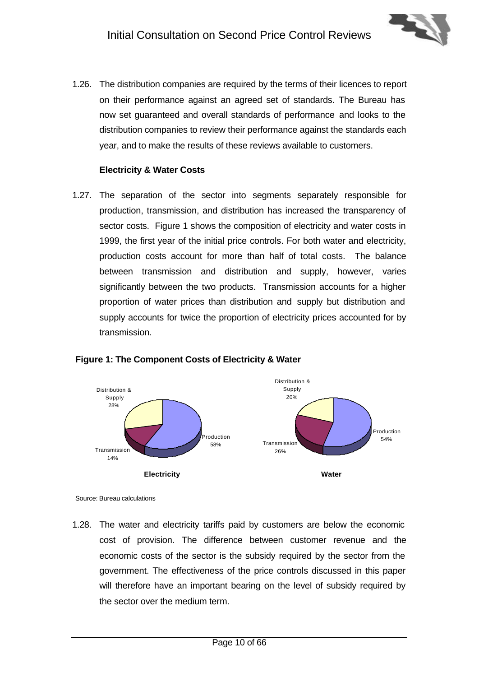

1.26. The distribution companies are required by the terms of their licences to report on their performance against an agreed set of standards. The Bureau has now set guaranteed and overall standards of performance and looks to the distribution companies to review their performance against the standards each year, and to make the results of these reviews available to customers.

# **Electricity & Water Costs**

1.27. The separation of the sector into segments separately responsible for production, transmission, and distribution has increased the transparency of sector costs. Figure 1 shows the composition of electricity and water costs in 1999, the first year of the initial price controls. For both water and electricity, production costs account for more than half of total costs. The balance between transmission and distribution and supply, however, varies significantly between the two products. Transmission accounts for a higher proportion of water prices than distribution and supply but distribution and supply accounts for twice the proportion of electricity prices accounted for by transmission.



# **Figure 1: The Component Costs of Electricity & Water**

Source: Bureau calculations

1.28. The water and electricity tariffs paid by customers are below the economic cost of provision. The difference between customer revenue and the economic costs of the sector is the subsidy required by the sector from the government. The effectiveness of the price controls discussed in this paper will therefore have an important bearing on the level of subsidy required by the sector over the medium term.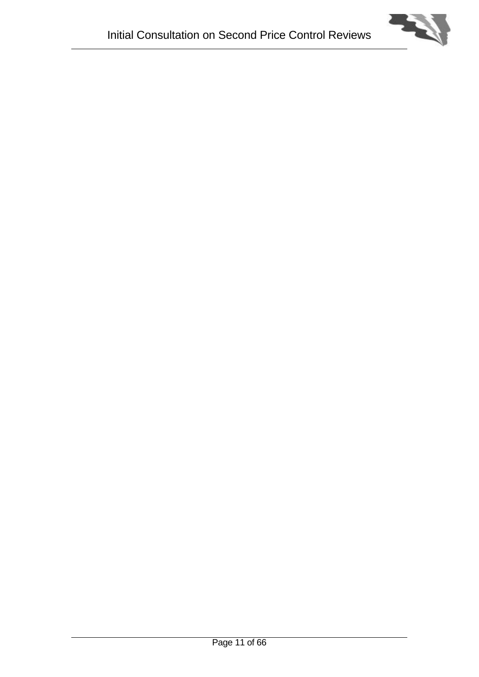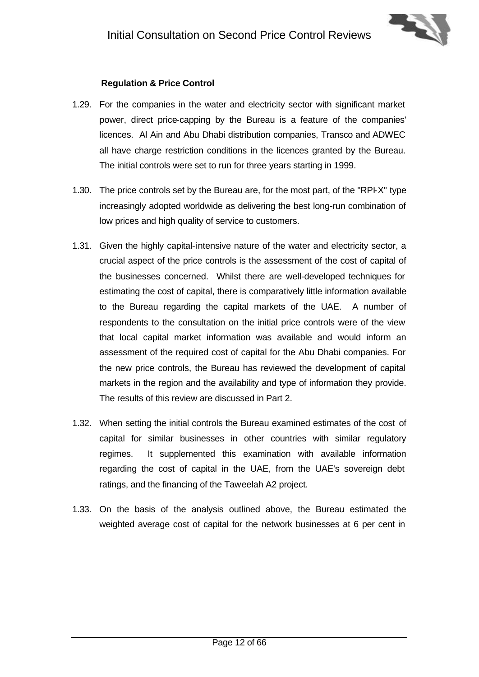

### **Regulation & Price Control**

- 1.29. For the companies in the water and electricity sector with significant market power, direct price-capping by the Bureau is a feature of the companies' licences. Al Ain and Abu Dhabi distribution companies, Transco and ADWEC all have charge restriction conditions in the licences granted by the Bureau. The initial controls were set to run for three years starting in 1999.
- 1.30. The price controls set by the Bureau are, for the most part, of the "RPI-X" type increasingly adopted worldwide as delivering the best long-run combination of low prices and high quality of service to customers.
- 1.31. Given the highly capital-intensive nature of the water and electricity sector, a crucial aspect of the price controls is the assessment of the cost of capital of the businesses concerned. Whilst there are well-developed techniques for estimating the cost of capital, there is comparatively little information available to the Bureau regarding the capital markets of the UAE. A number of respondents to the consultation on the initial price controls were of the view that local capital market information was available and would inform an assessment of the required cost of capital for the Abu Dhabi companies. For the new price controls, the Bureau has reviewed the development of capital markets in the region and the availability and type of information they provide. The results of this review are discussed in Part 2.
- 1.32. When setting the initial controls the Bureau examined estimates of the cost of capital for similar businesses in other countries with similar regulatory regimes. It supplemented this examination with available information regarding the cost of capital in the UAE, from the UAE's sovereign debt ratings, and the financing of the Taweelah A2 project.
- 1.33. On the basis of the analysis outlined above, the Bureau estimated the weighted average cost of capital for the network businesses at 6 per cent in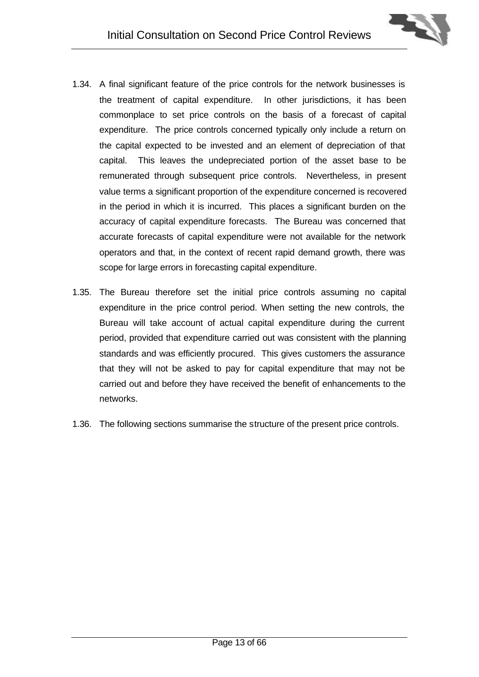

- 1.34. A final significant feature of the price controls for the network businesses is the treatment of capital expenditure. In other jurisdictions, it has been commonplace to set price controls on the basis of a forecast of capital expenditure. The price controls concerned typically only include a return on the capital expected to be invested and an element of depreciation of that capital. This leaves the undepreciated portion of the asset base to be remunerated through subsequent price controls. Nevertheless, in present value terms a significant proportion of the expenditure concerned is recovered in the period in which it is incurred. This places a significant burden on the accuracy of capital expenditure forecasts. The Bureau was concerned that accurate forecasts of capital expenditure were not available for the network operators and that, in the context of recent rapid demand growth, there was scope for large errors in forecasting capital expenditure.
- 1.35. The Bureau therefore set the initial price controls assuming no capital expenditure in the price control period. When setting the new controls, the Bureau will take account of actual capital expenditure during the current period, provided that expenditure carried out was consistent with the planning standards and was efficiently procured. This gives customers the assurance that they will not be asked to pay for capital expenditure that may not be carried out and before they have received the benefit of enhancements to the networks.
- 1.36. The following sections summarise the structure of the present price controls.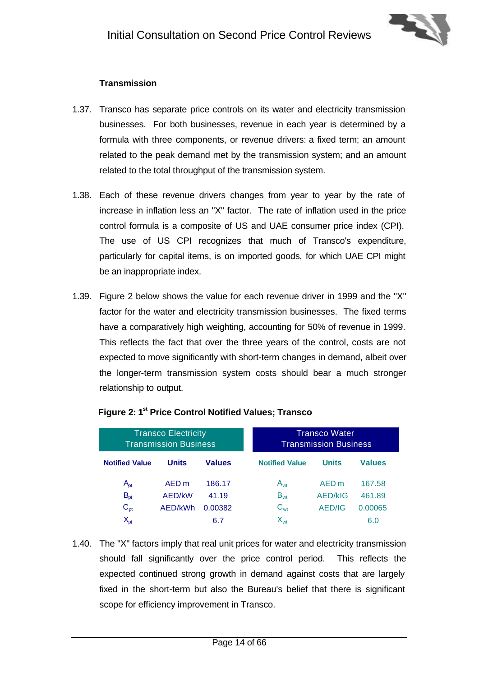

### **Transmission**

- 1.37. Transco has separate price controls on its water and electricity transmission businesses. For both businesses, revenue in each year is determined by a formula with three components, or revenue drivers: a fixed term; an amount related to the peak demand met by the transmission system; and an amount related to the total throughput of the transmission system.
- 1.38. Each of these revenue drivers changes from year to year by the rate of increase in inflation less an "X" factor. The rate of inflation used in the price control formula is a composite of US and UAE consumer price index (CPI). The use of US CPI recognizes that much of Transco's expenditure, particularly for capital items, is on imported goods, for which UAE CPI might be an inappropriate index.
- 1.39. Figure 2 below shows the value for each revenue driver in 1999 and the "X" factor for the water and electricity transmission businesses. The fixed terms have a comparatively high weighting, accounting for 50% of revenue in 1999. This reflects the fact that over the three years of the control, costs are not expected to move significantly with short-term changes in demand, albeit over the longer-term transmission system costs should bear a much stronger relationship to output.

| <b>Transco Electricity</b><br><b>Transmission Business</b> |                  |         | <b>Transco Water</b><br><b>Transmission Business</b> |                  |               |  |
|------------------------------------------------------------|------------------|---------|------------------------------------------------------|------------------|---------------|--|
| <b>Units</b><br><b>Values</b><br><b>Notified Value</b>     |                  |         | <b>Notified Value</b>                                | <b>Units</b>     | <b>Values</b> |  |
| $A_{pt}$                                                   | AED <sub>m</sub> | 186.17  | $A_{wt}$                                             | AED <sub>m</sub> | 167.58        |  |
| $B_{pt}$                                                   | AED/kW           | 41.19   | $B_{wt}$                                             | AED/kIG          | 461.89        |  |
| $C_{pt}$                                                   | AED/kWh          | 0.00382 | $C_{wt}$                                             | AED/IG           | 0.00065       |  |
| $\mathsf{X}_{\mathsf{ot}}$                                 |                  | 6.7     | $\mathsf{X}_{\mathsf{wt}}$                           |                  | 6.0           |  |

#### **Figure 2: 1st Price Control Notified Values; Transco**

1.40. The "X" factors imply that real unit prices for water and electricity transmission should fall significantly over the price control period. This reflects the expected continued strong growth in demand against costs that are largely fixed in the short-term but also the Bureau's belief that there is significant scope for efficiency improvement in Transco.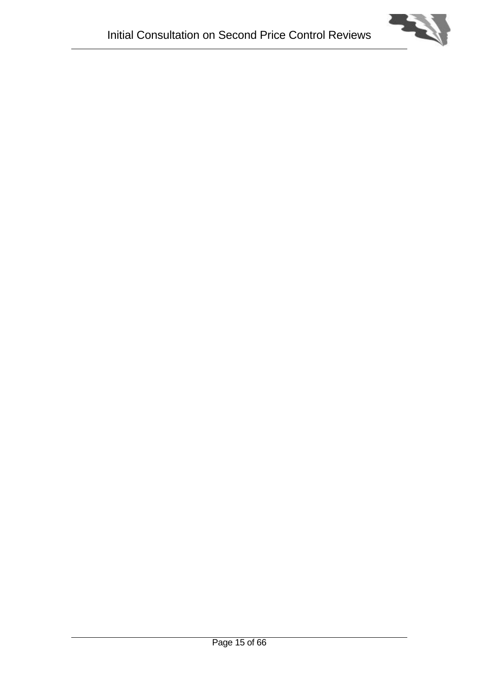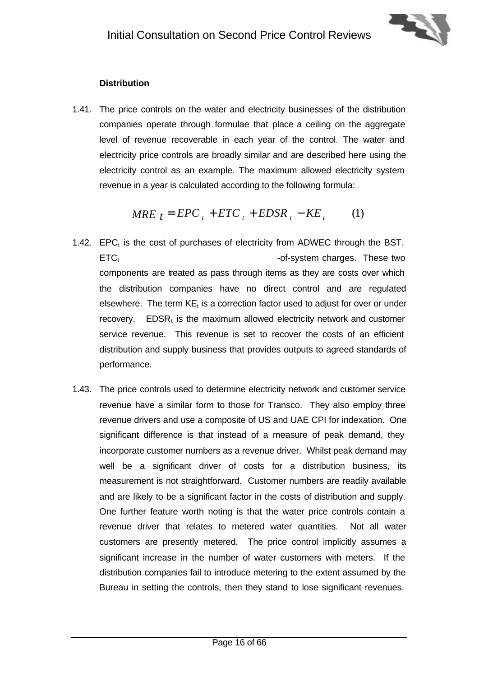

# **Distribution**

1.41. The price controls on the water and electricity businesses of the distribution companies operate through formulae that place a ceiling on the aggregate level of revenue recoverable in each year of the control. The water and electricity price controls are broadly similar and are described here using the electricity control as an example. The maximum allowed electricity system revenue in a year is calculated according to the following formula:

$$
MRE_t = EPC_t + ETC_t + EDSR_t - KE_t \tag{1}
$$

- 1.42.  $EPC_t$  is the cost of purchases of electricity from ADWEC through the BST.  $ETC<sub>t</sub>$  -of-system charges. These two components are treated as pass through items as they are costs over which the distribution companies have no direct control and are regulated elsewhere. The term KE<sub>t</sub> is a correction factor used to adjust for over or under recovery.  $EDSR<sub>t</sub>$  is the maximum allowed electricity network and customer service revenue. This revenue is set to recover the costs of an efficient distribution and supply business that provides outputs to agreed standards of performance.
- 1.43. The price controls used to determine electricity network and customer service revenue have a similar form to those for Transco. They also employ three revenue drivers and use a composite of US and UAE CPI for indexation. One significant difference is that instead of a measure of peak demand, they incorporate customer numbers as a revenue driver. Whilst peak demand may well be a significant driver of costs for a distribution business, its measurement is not straightforward. Customer numbers are readily available and are likely to be a significant factor in the costs of distribution and supply. One further feature worth noting is that the water price controls contain a revenue driver that relates to metered water quantities. Not all water customers are presently metered. The price control implicitly assumes a significant increase in the number of water customers with meters. If the distribution companies fail to introduce metering to the extent assumed by the Bureau in setting the controls, then they stand to lose significant revenues.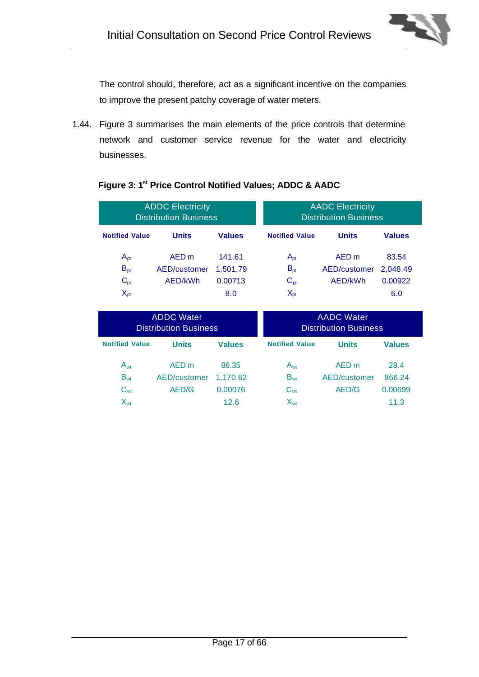

The control should, therefore, act as a significant incentive on the companies to improve the present patchy coverage of water meters.

1.44. Figure 3 summarises the main elements of the price controls that determine network and customer service revenue for the water and electricity businesses.

# **Figure 3: 1st Price Control Notified Values; ADDC & AADC**

|                                       | <b>ADDC Electricity</b><br><b>Distribution Business</b> |               | <b>AADC Electricity</b><br><b>Distribution Business</b> |                  |          |  |
|---------------------------------------|---------------------------------------------------------|---------------|---------------------------------------------------------|------------------|----------|--|
| <b>Units</b><br><b>Notified Value</b> |                                                         | <b>Values</b> | <b>Notified Value</b>                                   | <b>Units</b>     |          |  |
| $A_{pt}$                              | AED <sub>m</sub>                                        | 141.61        | $A_{\text{ot}}$                                         | AED <sub>m</sub> | 83.54    |  |
| $B_{pt}$                              | AED/customer                                            | 1.501.79      | $B_{pt}$                                                | AED/customer     | 2.048.49 |  |
| $C_{pt}$                              | AED/kWh                                                 | 0.00713       | $C_{pt}$                                                | AED/kWh          | 0.00922  |  |
| $\mathsf{X}_{\mathsf{pt}}$            |                                                         | 8.0           | $X_{\text{pt}}$                                         |                  | 6.0      |  |

|                       | <b>ADDC Water</b><br><b>Distribution Business</b> |               | <b>AADC Water</b><br><b>Distribution Business</b> |                  |               |  |
|-----------------------|---------------------------------------------------|---------------|---------------------------------------------------|------------------|---------------|--|
| <b>Notified Value</b> | <b>Units</b>                                      | <b>Values</b> | <b>Notified Value</b>                             | <b>Units</b>     | <b>Values</b> |  |
| $A_{wt}$              | AED <sub>m</sub>                                  | 86.35         | $A_{wt}$                                          | AED <sub>m</sub> | 28.4          |  |
| $B_{wt}$              | AED/customer                                      | 1.170.62      | $B_{wt}$                                          | AED/customer     | 866.24        |  |
| $C_{wt}$              | AED/G                                             | 0.00076       | $C_{wt}$                                          | AED/G            | 0.00699       |  |
| $X_{wt}$              |                                                   | 12.6          | $X_{wt}$                                          |                  | 11.3          |  |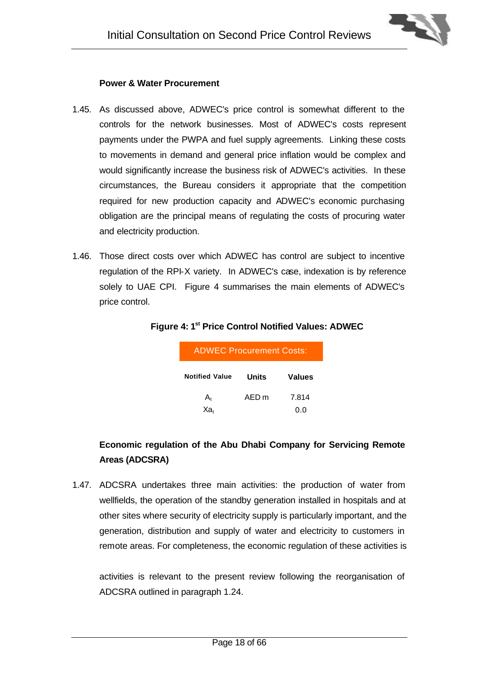

#### **Power & Water Procurement**

- 1.45. As discussed above, ADWEC's price control is somewhat different to the controls for the network businesses. Most of ADWEC's costs represent payments under the PWPA and fuel supply agreements. Linking these costs to movements in demand and general price inflation would be complex and would significantly increase the business risk of ADWEC's activities. In these circumstances, the Bureau considers it appropriate that the competition required for new production capacity and ADWEC's economic purchasing obligation are the principal means of regulating the costs of procuring water and electricity production.
- 1.46. Those direct costs over which ADWEC has control are subject to incentive regulation of the RPI-X variety. In ADWEC's case, indexation is by reference solely to UAE CPI. Figure 4 summarises the main elements of ADWEC's price control.

# **Figure 4: 1st Price Control Notified Values: ADWEC**

| <b>ADWEC Procurement Costs:</b> |                  |               |  |  |  |
|---------------------------------|------------------|---------------|--|--|--|
| <b>Notified Value</b>           | Units            | <b>Values</b> |  |  |  |
| $A_{t}$                         | AED <sub>m</sub> | 7.814         |  |  |  |
| Xa.                             |                  | 0.0           |  |  |  |

# **Economic regulation of the Abu Dhabi Company for Servicing Remote Areas (ADCSRA)**

1.47. ADCSRA undertakes three main activities: the production of water from wellfields, the operation of the standby generation installed in hospitals and at other sites where security of electricity supply is particularly important, and the generation, distribution and supply of water and electricity to customers in remote areas. For completeness, the economic regulation of these activities is

activities is relevant to the present review following the reorganisation of ADCSRA outlined in paragraph 1.24.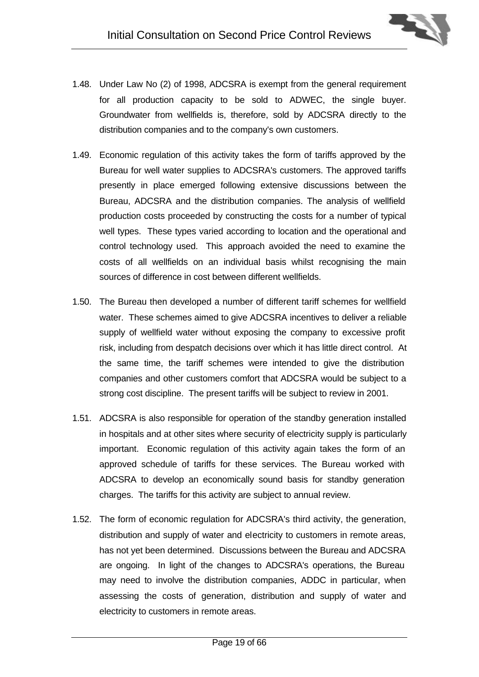

- 1.48. Under Law No (2) of 1998, ADCSRA is exempt from the general requirement for all production capacity to be sold to ADWEC, the single buyer. Groundwater from wellfields is, therefore, sold by ADCSRA directly to the distribution companies and to the company's own customers.
- 1.49. Economic regulation of this activity takes the form of tariffs approved by the Bureau for well water supplies to ADCSRA's customers. The approved tariffs presently in place emerged following extensive discussions between the Bureau, ADCSRA and the distribution companies. The analysis of wellfield production costs proceeded by constructing the costs for a number of typical well types. These types varied according to location and the operational and control technology used. This approach avoided the need to examine the costs of all wellfields on an individual basis whilst recognising the main sources of difference in cost between different wellfields.
- 1.50. The Bureau then developed a number of different tariff schemes for wellfield water. These schemes aimed to give ADCSRA incentives to deliver a reliable supply of wellfield water without exposing the company to excessive profit risk, including from despatch decisions over which it has little direct control. At the same time, the tariff schemes were intended to give the distribution companies and other customers comfort that ADCSRA would be subject to a strong cost discipline. The present tariffs will be subject to review in 2001.
- 1.51. ADCSRA is also responsible for operation of the standby generation installed in hospitals and at other sites where security of electricity supply is particularly important. Economic regulation of this activity again takes the form of an approved schedule of tariffs for these services. The Bureau worked with ADCSRA to develop an economically sound basis for standby generation charges. The tariffs for this activity are subject to annual review.
- 1.52. The form of economic regulation for ADCSRA's third activity, the generation, distribution and supply of water and electricity to customers in remote areas, has not yet been determined. Discussions between the Bureau and ADCSRA are ongoing. In light of the changes to ADCSRA's operations, the Bureau may need to involve the distribution companies, ADDC in particular, when assessing the costs of generation, distribution and supply of water and electricity to customers in remote areas.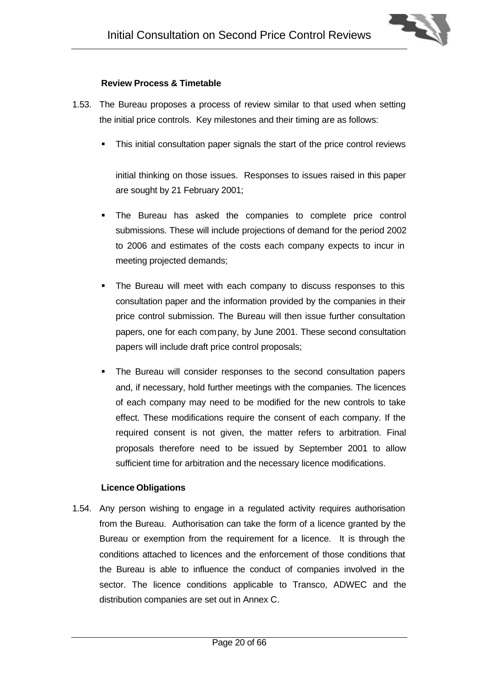

### **Review Process & Timetable**

- 1.53. The Bureau proposes a process of review similar to that used when setting the initial price controls. Key milestones and their timing are as follows:
	- This initial consultation paper signals the start of the price control reviews

initial thinking on those issues. Responses to issues raised in this paper are sought by 21 February 2001;

- The Bureau has asked the companies to complete price control submissions. These will include projections of demand for the period 2002 to 2006 and estimates of the costs each company expects to incur in meeting projected demands;
- The Bureau will meet with each company to discuss responses to this consultation paper and the information provided by the companies in their price control submission. The Bureau will then issue further consultation papers, one for each company, by June 2001. These second consultation papers will include draft price control proposals;
- The Bureau will consider responses to the second consultation papers and, if necessary, hold further meetings with the companies. The licences of each company may need to be modified for the new controls to take effect. These modifications require the consent of each company. If the required consent is not given, the matter refers to arbitration. Final proposals therefore need to be issued by September 2001 to allow sufficient time for arbitration and the necessary licence modifications.

# **Licence Obligations**

1.54. Any person wishing to engage in a regulated activity requires authorisation from the Bureau. Authorisation can take the form of a licence granted by the Bureau or exemption from the requirement for a licence. It is through the conditions attached to licences and the enforcement of those conditions that the Bureau is able to influence the conduct of companies involved in the sector. The licence conditions applicable to Transco, ADWEC and the distribution companies are set out in Annex C.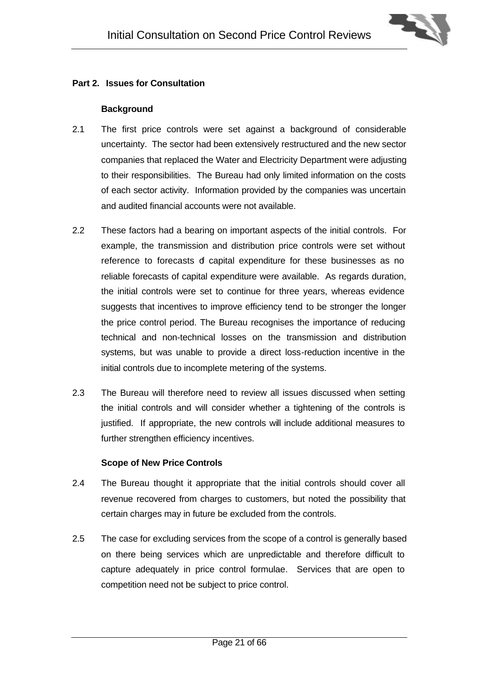

# **Part 2. Issues for Consultation**

# **Background**

- 2.1 The first price controls were set against a background of considerable uncertainty. The sector had been extensively restructured and the new sector companies that replaced the Water and Electricity Department were adjusting to their responsibilities. The Bureau had only limited information on the costs of each sector activity. Information provided by the companies was uncertain and audited financial accounts were not available.
- 2.2 These factors had a bearing on important aspects of the initial controls. For example, the transmission and distribution price controls were set without reference to forecasts of capital expenditure for these businesses as no reliable forecasts of capital expenditure were available. As regards duration, the initial controls were set to continue for three years, whereas evidence suggests that incentives to improve efficiency tend to be stronger the longer the price control period. The Bureau recognises the importance of reducing technical and non-technical losses on the transmission and distribution systems, but was unable to provide a direct loss-reduction incentive in the initial controls due to incomplete metering of the systems.
- 2.3 The Bureau will therefore need to review all issues discussed when setting the initial controls and will consider whether a tightening of the controls is justified. If appropriate, the new controls will include additional measures to further strengthen efficiency incentives.

# **Scope of New Price Controls**

- 2.4 The Bureau thought it appropriate that the initial controls should cover all revenue recovered from charges to customers, but noted the possibility that certain charges may in future be excluded from the controls.
- 2.5 The case for excluding services from the scope of a control is generally based on there being services which are unpredictable and therefore difficult to capture adequately in price control formulae. Services that are open to competition need not be subject to price control.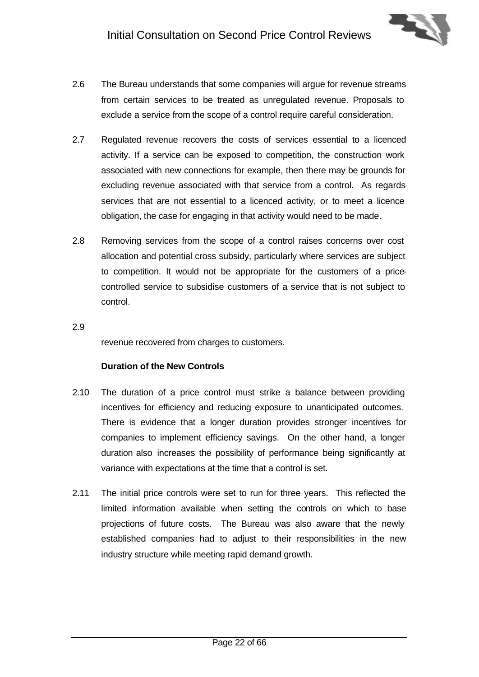

- 2.6 The Bureau understands that some companies will argue for revenue streams from certain services to be treated as unregulated revenue. Proposals to exclude a service from the scope of a control require careful consideration.
- 2.7 Regulated revenue recovers the costs of services essential to a licenced activity. If a service can be exposed to competition, the construction work associated with new connections for example, then there may be grounds for excluding revenue associated with that service from a control. As regards services that are not essential to a licenced activity, or to meet a licence obligation, the case for engaging in that activity would need to be made.
- 2.8 Removing services from the scope of a control raises concerns over cost allocation and potential cross subsidy, particularly where services are subject to competition. It would not be appropriate for the customers of a pricecontrolled service to subsidise customers of a service that is not subject to control.

# 2.9

revenue recovered from charges to customers.

# **Duration of the New Controls**

- 2.10 The duration of a price control must strike a balance between providing incentives for efficiency and reducing exposure to unanticipated outcomes. There is evidence that a longer duration provides stronger incentives for companies to implement efficiency savings. On the other hand, a longer duration also increases the possibility of performance being significantly at variance with expectations at the time that a control is set.
- 2.11 The initial price controls were set to run for three years. This reflected the limited information available when setting the controls on which to base projections of future costs. The Bureau was also aware that the newly established companies had to adjust to their responsibilities in the new industry structure while meeting rapid demand growth.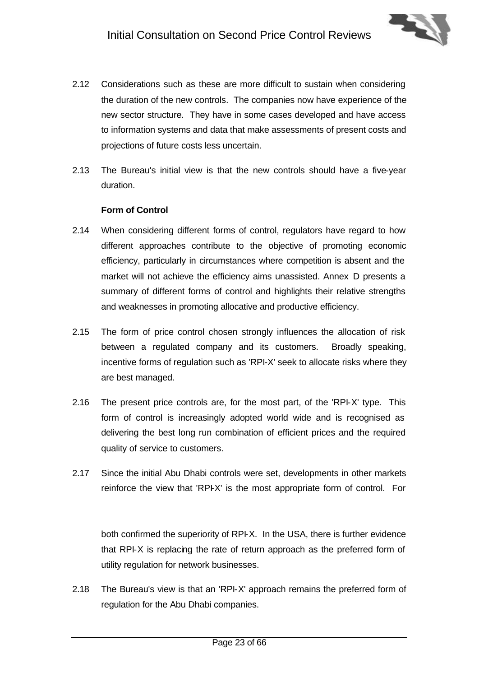

- 2.12 Considerations such as these are more difficult to sustain when considering the duration of the new controls. The companies now have experience of the new sector structure. They have in some cases developed and have access to information systems and data that make assessments of present costs and projections of future costs less uncertain.
- 2.13 The Bureau's initial view is that the new controls should have a five-year duration.

# **Form of Control**

- 2.14 When considering different forms of control, regulators have regard to how different approaches contribute to the objective of promoting economic efficiency, particularly in circumstances where competition is absent and the market will not achieve the efficiency aims unassisted. Annex D presents a summary of different forms of control and highlights their relative strengths and weaknesses in promoting allocative and productive efficiency.
- 2.15 The form of price control chosen strongly influences the allocation of risk between a regulated company and its customers. Broadly speaking, incentive forms of regulation such as 'RPI-X' seek to allocate risks where they are best managed.
- 2.16 The present price controls are, for the most part, of the 'RPI-X' type. This form of control is increasingly adopted world wide and is recognised as delivering the best long run combination of efficient prices and the required quality of service to customers.
- 2.17 Since the initial Abu Dhabi controls were set, developments in other markets reinforce the view that 'RPI-X' is the most appropriate form of control. For

both confirmed the superiority of RPI-X. In the USA, there is further evidence that RPI-X is replacing the rate of return approach as the preferred form of utility regulation for network businesses.

2.18 The Bureau's view is that an 'RPI-X' approach remains the preferred form of regulation for the Abu Dhabi companies.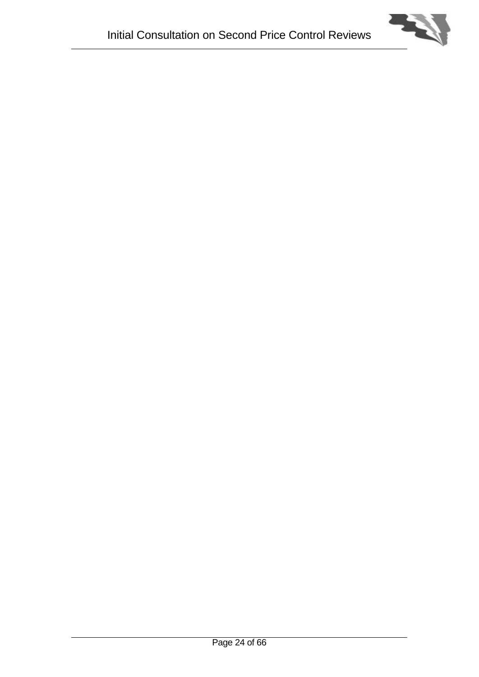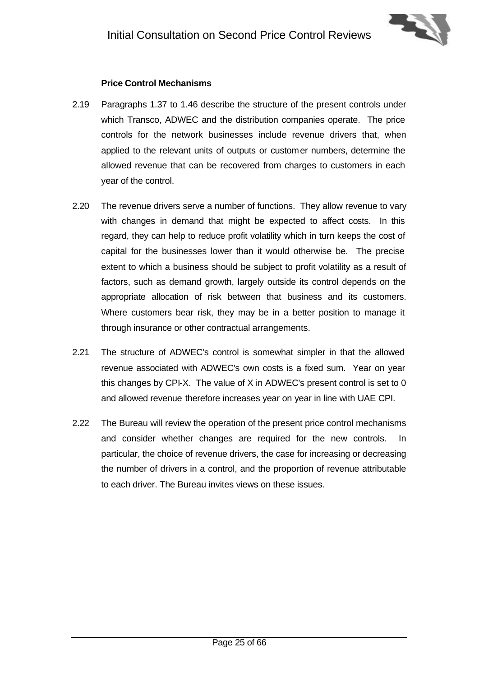

### **Price Control Mechanisms**

- 2.19 Paragraphs 1.37 to 1.46 describe the structure of the present controls under which Transco, ADWEC and the distribution companies operate. The price controls for the network businesses include revenue drivers that, when applied to the relevant units of outputs or customer numbers, determine the allowed revenue that can be recovered from charges to customers in each year of the control.
- 2.20 The revenue drivers serve a number of functions. They allow revenue to vary with changes in demand that might be expected to affect costs. In this regard, they can help to reduce profit volatility which in turn keeps the cost of capital for the businesses lower than it would otherwise be. The precise extent to which a business should be subject to profit volatility as a result of factors, such as demand growth, largely outside its control depends on the appropriate allocation of risk between that business and its customers. Where customers bear risk, they may be in a better position to manage it through insurance or other contractual arrangements.
- 2.21 The structure of ADWEC's control is somewhat simpler in that the allowed revenue associated with ADWEC's own costs is a fixed sum. Year on year this changes by CPI-X. The value of X in ADWEC's present control is set to 0 and allowed revenue therefore increases year on year in line with UAE CPI.
- 2.22 The Bureau will review the operation of the present price control mechanisms and consider whether changes are required for the new controls. In particular, the choice of revenue drivers, the case for increasing or decreasing the number of drivers in a control, and the proportion of revenue attributable to each driver. The Bureau invites views on these issues.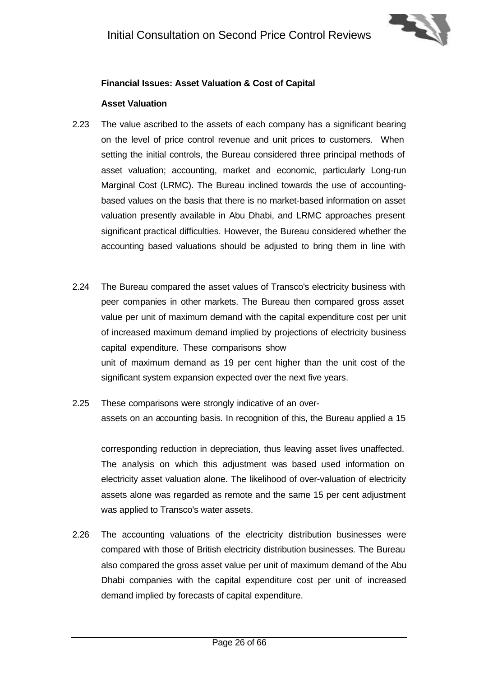

# **Financial Issues: Asset Valuation & Cost of Capital**

# **Asset Valuation**

- 2.23 The value ascribed to the assets of each company has a significant bearing on the level of price control revenue and unit prices to customers. When setting the initial controls, the Bureau considered three principal methods of asset valuation; accounting, market and economic, particularly Long-run Marginal Cost (LRMC). The Bureau inclined towards the use of accountingbased values on the basis that there is no market-based information on asset valuation presently available in Abu Dhabi, and LRMC approaches present significant practical difficulties. However, the Bureau considered whether the accounting based valuations should be adjusted to bring them in line with
- 2.24 The Bureau compared the asset values of Transco's electricity business with peer companies in other markets. The Bureau then compared gross asset value per unit of maximum demand with the capital expenditure cost per unit of increased maximum demand implied by projections of electricity business capital expenditure. These comparisons show unit of maximum demand as 19 per cent higher than the unit cost of the significant system expansion expected over the next five years.
- 2.25 These comparisons were strongly indicative of an overassets on an accounting basis. In recognition of this, the Bureau applied a 15

corresponding reduction in depreciation, thus leaving asset lives unaffected. The analysis on which this adjustment was based used information on electricity asset valuation alone. The likelihood of over-valuation of electricity assets alone was regarded as remote and the same 15 per cent adjustment was applied to Transco's water assets.

2.26 The accounting valuations of the electricity distribution businesses were compared with those of British electricity distribution businesses. The Bureau also compared the gross asset value per unit of maximum demand of the Abu Dhabi companies with the capital expenditure cost per unit of increased demand implied by forecasts of capital expenditure.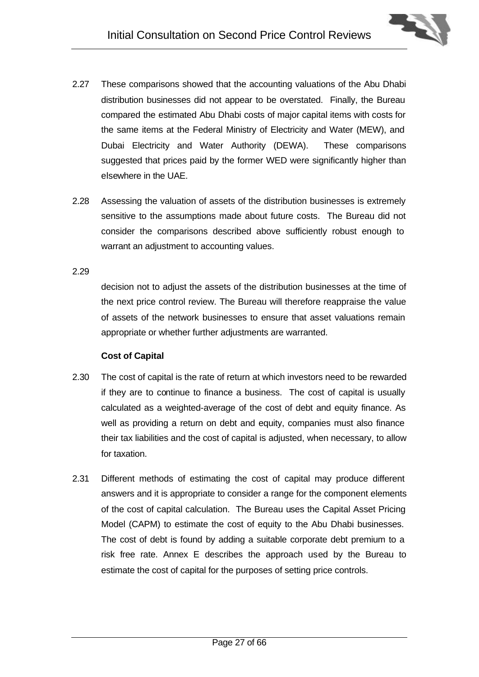

- 2.27 These comparisons showed that the accounting valuations of the Abu Dhabi distribution businesses did not appear to be overstated. Finally, the Bureau compared the estimated Abu Dhabi costs of major capital items with costs for the same items at the Federal Ministry of Electricity and Water (MEW), and Dubai Electricity and Water Authority (DEWA). These comparisons suggested that prices paid by the former WED were significantly higher than elsewhere in the UAE.
- 2.28 Assessing the valuation of assets of the distribution businesses is extremely sensitive to the assumptions made about future costs. The Bureau did not consider the comparisons described above sufficiently robust enough to warrant an adjustment to accounting values.

#### 2.29

decision not to adjust the assets of the distribution businesses at the time of the next price control review. The Bureau will therefore reappraise the value of assets of the network businesses to ensure that asset valuations remain appropriate or whether further adjustments are warranted.

#### **Cost of Capital**

- 2.30 The cost of capital is the rate of return at which investors need to be rewarded if they are to continue to finance a business. The cost of capital is usually calculated as a weighted-average of the cost of debt and equity finance. As well as providing a return on debt and equity, companies must also finance their tax liabilities and the cost of capital is adjusted, when necessary, to allow for taxation.
- 2.31 Different methods of estimating the cost of capital may produce different answers and it is appropriate to consider a range for the component elements of the cost of capital calculation. The Bureau uses the Capital Asset Pricing Model (CAPM) to estimate the cost of equity to the Abu Dhabi businesses. The cost of debt is found by adding a suitable corporate debt premium to a risk free rate. Annex E describes the approach used by the Bureau to estimate the cost of capital for the purposes of setting price controls.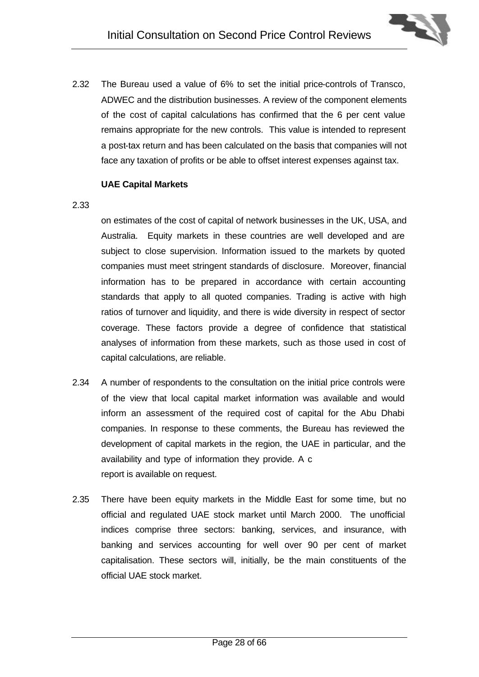

2.32 The Bureau used a value of 6% to set the initial price-controls of Transco, ADWEC and the distribution businesses. A review of the component elements of the cost of capital calculations has confirmed that the 6 per cent value remains appropriate for the new controls. This value is intended to represent a post-tax return and has been calculated on the basis that companies will not face any taxation of profits or be able to offset interest expenses against tax.

# **UAE Capital Markets**

#### 2.33

on estimates of the cost of capital of network businesses in the UK, USA, and Australia. Equity markets in these countries are well developed and are subject to close supervision. Information issued to the markets by quoted companies must meet stringent standards of disclosure. Moreover, financial information has to be prepared in accordance with certain accounting standards that apply to all quoted companies. Trading is active with high ratios of turnover and liquidity, and there is wide diversity in respect of sector coverage. These factors provide a degree of confidence that statistical analyses of information from these markets, such as those used in cost of capital calculations, are reliable.

- 2.34 A number of respondents to the consultation on the initial price controls were of the view that local capital market information was available and would inform an assessment of the required cost of capital for the Abu Dhabi companies. In response to these comments, the Bureau has reviewed the development of capital markets in the region, the UAE in particular, and the availability and type of information they provide. A c report is available on request.
- 2.35 There have been equity markets in the Middle East for some time, but no official and regulated UAE stock market until March 2000. The unofficial indices comprise three sectors: banking, services, and insurance, with banking and services accounting for well over 90 per cent of market capitalisation. These sectors will, initially, be the main constituents of the official UAE stock market.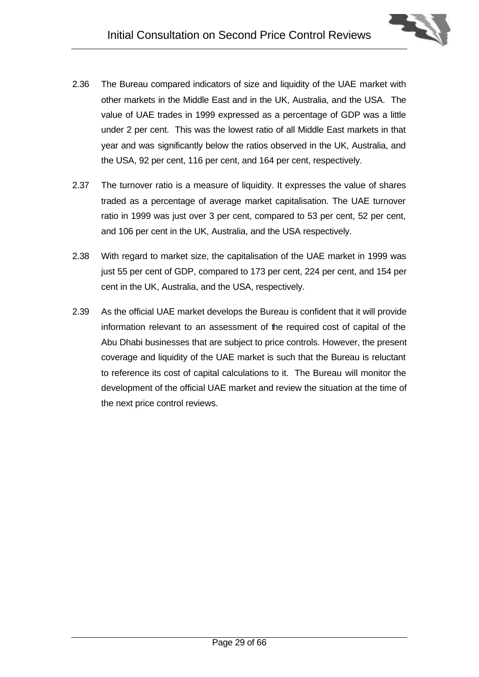

- 2.36 The Bureau compared indicators of size and liquidity of the UAE market with other markets in the Middle East and in the UK, Australia, and the USA. The value of UAE trades in 1999 expressed as a percentage of GDP was a little under 2 per cent. This was the lowest ratio of all Middle East markets in that year and was significantly below the ratios observed in the UK, Australia, and the USA, 92 per cent, 116 per cent, and 164 per cent, respectively.
- 2.37 The turnover ratio is a measure of liquidity. It expresses the value of shares traded as a percentage of average market capitalisation. The UAE turnover ratio in 1999 was just over 3 per cent, compared to 53 per cent, 52 per cent, and 106 per cent in the UK, Australia, and the USA respectively.
- 2.38 With regard to market size, the capitalisation of the UAE market in 1999 was just 55 per cent of GDP, compared to 173 per cent, 224 per cent, and 154 per cent in the UK, Australia, and the USA, respectively.
- 2.39 As the official UAE market develops the Bureau is confident that it will provide information relevant to an assessment of the required cost of capital of the Abu Dhabi businesses that are subject to price controls. However, the present coverage and liquidity of the UAE market is such that the Bureau is reluctant to reference its cost of capital calculations to it. The Bureau will monitor the development of the official UAE market and review the situation at the time of the next price control reviews.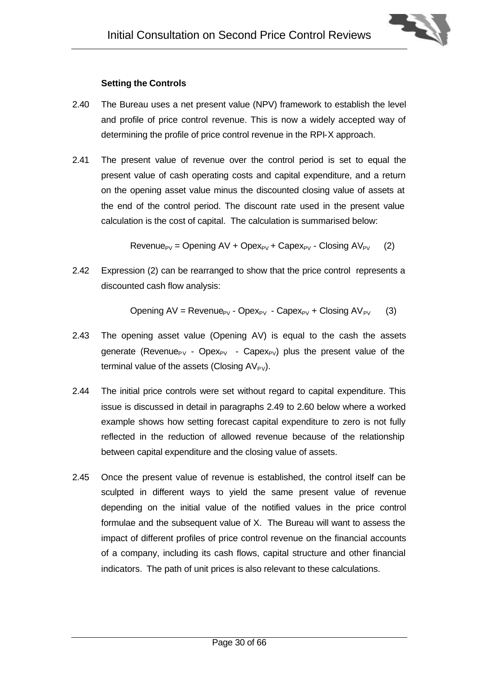

# **Setting the Controls**

- 2.40 The Bureau uses a net present value (NPV) framework to establish the level and profile of price control revenue. This is now a widely accepted way of determining the profile of price control revenue in the RPI-X approach.
- 2.41 The present value of revenue over the control period is set to equal the present value of cash operating costs and capital expenditure, and a return on the opening asset value minus the discounted closing value of assets at the end of the control period. The discount rate used in the present value calculation is the cost of capital. The calculation is summarised below:

 $Revenue_{PV} = Opening AV + OpeX_{PV} + CapeX_{PV} - Closinq AV_{PV}$  (2)

2.42 Expression (2) can be rearranged to show that the price control represents a discounted cash flow analysis:

Opening AV = Revenue<sub>pv</sub> - Ope
$$
x_{PV}
$$
 - Cape $x_{PV}$  + Closing AV<sub>PV</sub> (3)

- 2.43 The opening asset value (Opening AV) is equal to the cash the assets generate (Revenue<sub>PV</sub> - Opex<sub>PV</sub> - Capex<sub>PV</sub>) plus the present value of the terminal value of the assets (Closing  $AV_{PV}$ ).
- 2.44 The initial price controls were set without regard to capital expenditure. This issue is discussed in detail in paragraphs 2.49 to 2.60 below where a worked example shows how setting forecast capital expenditure to zero is not fully reflected in the reduction of allowed revenue because of the relationship between capital expenditure and the closing value of assets.
- 2.45 Once the present value of revenue is established, the control itself can be sculpted in different ways to yield the same present value of revenue depending on the initial value of the notified values in the price control formulae and the subsequent value of X. The Bureau will want to assess the impact of different profiles of price control revenue on the financial accounts of a company, including its cash flows, capital structure and other financial indicators. The path of unit prices is also relevant to these calculations.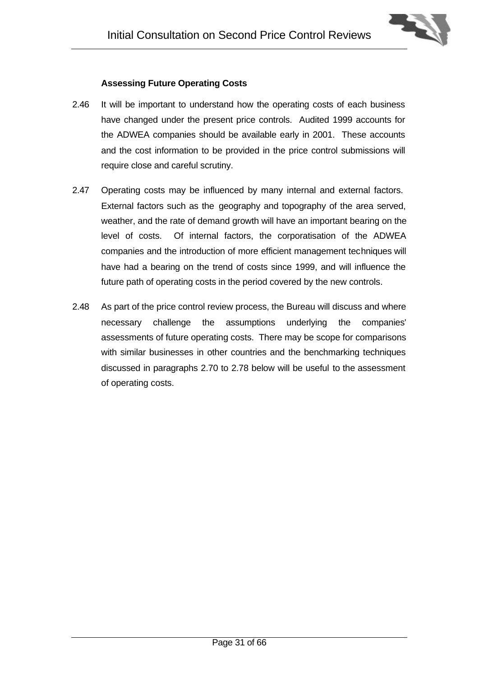

# **Assessing Future Operating Costs**

- 2.46 It will be important to understand how the operating costs of each business have changed under the present price controls. Audited 1999 accounts for the ADWEA companies should be available early in 2001. These accounts and the cost information to be provided in the price control submissions will require close and careful scrutiny.
- 2.47 Operating costs may be influenced by many internal and external factors. External factors such as the geography and topography of the area served, weather, and the rate of demand growth will have an important bearing on the level of costs. Of internal factors, the corporatisation of the ADWEA companies and the introduction of more efficient management techniques will have had a bearing on the trend of costs since 1999, and will influence the future path of operating costs in the period covered by the new controls.
- 2.48 As part of the price control review process, the Bureau will discuss and where necessary challenge the assumptions underlying the companies' assessments of future operating costs. There may be scope for comparisons with similar businesses in other countries and the benchmarking techniques discussed in paragraphs 2.70 to 2.78 below will be useful to the assessment of operating costs.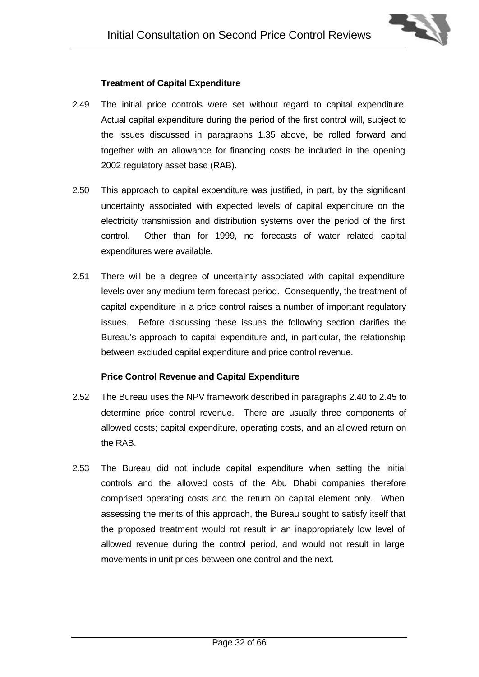

# **Treatment of Capital Expenditure**

- 2.49 The initial price controls were set without regard to capital expenditure. Actual capital expenditure during the period of the first control will, subject to the issues discussed in paragraphs 1.35 above, be rolled forward and together with an allowance for financing costs be included in the opening 2002 regulatory asset base (RAB).
- 2.50 This approach to capital expenditure was justified, in part, by the significant uncertainty associated with expected levels of capital expenditure on the electricity transmission and distribution systems over the period of the first control. Other than for 1999, no forecasts of water related capital expenditures were available.
- 2.51 There will be a degree of uncertainty associated with capital expenditure levels over any medium term forecast period. Consequently, the treatment of capital expenditure in a price control raises a number of important regulatory issues. Before discussing these issues the following section clarifies the Bureau's approach to capital expenditure and, in particular, the relationship between excluded capital expenditure and price control revenue.

# **Price Control Revenue and Capital Expenditure**

- 2.52 The Bureau uses the NPV framework described in paragraphs 2.40 to 2.45 to determine price control revenue. There are usually three components of allowed costs; capital expenditure, operating costs, and an allowed return on the RAB.
- 2.53 The Bureau did not include capital expenditure when setting the initial controls and the allowed costs of the Abu Dhabi companies therefore comprised operating costs and the return on capital element only. When assessing the merits of this approach, the Bureau sought to satisfy itself that the proposed treatment would not result in an inappropriately low level of allowed revenue during the control period, and would not result in large movements in unit prices between one control and the next.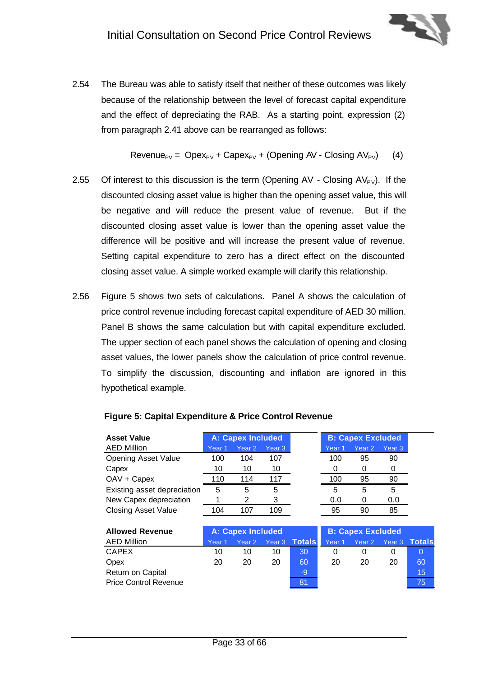

2.54 The Bureau was able to satisfy itself that neither of these outcomes was likely because of the relationship between the level of forecast capital expenditure and the effect of depreciating the RAB. As a starting point, expression (2) from paragraph 2.41 above can be rearranged as follows:

```
Revenue<sub>PV</sub> = Opex<sub>PV</sub> + Capex<sub>PV</sub> + (Opening AV - Closing AV<sub>PV</sub>) (4)
```
- 2.55 Of interest to this discussion is the term (Opening AV Closing  $AV_{PV}$ ). If the discounted closing asset value is higher than the opening asset value, this will be negative and will reduce the present value of revenue. But if the discounted closing asset value is lower than the opening asset value the difference will be positive and will increase the present value of revenue. Setting capital expenditure to zero has a direct effect on the discounted closing asset value. A simple worked example will clarify this relationship.
- 2.56 Figure 5 shows two sets of calculations. Panel A shows the calculation of price control revenue including forecast capital expenditure of AED 30 million. Panel B shows the same calculation but with capital expenditure excluded. The upper section of each panel shows the calculation of opening and closing asset values, the lower panels show the calculation of price control revenue. To simplify the discussion, discounting and inflation are ignored in this hypothetical example.

| <b>Asset Value</b>          | <b>A: Capex Included</b> |        |        |
|-----------------------------|--------------------------|--------|--------|
| <b>AED Million</b>          | Year 1                   | Year 2 | Year 3 |
| <b>Opening Asset Value</b>  | 100                      | 104    | 107    |
| Capex                       | 10                       | 10     | 10     |
| OAV + Capex                 | 110                      | 114    | 117    |
| Existing asset depreciation | 5                        | 5      | 5      |
| New Capex depreciation      |                          | 2      |        |
| <b>Closing Asset Value</b>  | 104                      | 107    | 109    |
|                             |                          |        |        |

# **Figure 5: Capital Expenditure & Price Control Revenue**

| <b>Allowed Revenue</b>       | <b>A: Capex Included</b> |    |    |                      | <b>B: Capex Excluded</b> |                                    |    |          |
|------------------------------|--------------------------|----|----|----------------------|--------------------------|------------------------------------|----|----------|
| <b>AED Million</b>           | Year 1                   |    |    | Year 2 Year 3 Totals |                          | Year 1 Year 2 Year 3 <b>Totals</b> |    |          |
| <b>CAPEX</b>                 | 10                       | 10 | 10 | 30                   | 0                        |                                    | 0  | $\Omega$ |
| Opex                         | 20                       | 20 | 20 | 60                   | 20                       | 20                                 | 20 | 60       |
| Return on Capital            |                          |    |    | -9                   |                          |                                    |    | 15       |
| <b>Price Control Revenue</b> |                          |    |    |                      |                          |                                    |    | 75       |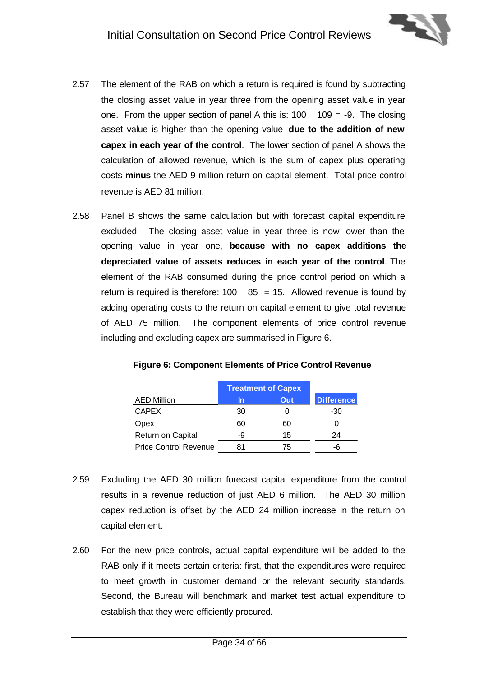

- 2.57 The element of the RAB on which a return is required is found by subtracting the closing asset value in year three from the opening asset value in year one. From the upper section of panel A this is:  $100 \quad 109 = -9$ . The closing asset value is higher than the opening value **due to the addition of new capex in each year of the control**. The lower section of panel A shows the calculation of allowed revenue, which is the sum of capex plus operating costs **minus** the AED 9 million return on capital element. Total price control revenue is AED 81 million.
- 2.58 Panel B shows the same calculation but with forecast capital expenditure excluded. The closing asset value in year three is now lower than the opening value in year one, **because with no capex additions the depreciated value of assets reduces in each year of the control**. The element of the RAB consumed during the price control period on which a return is required is therefore:  $100 \quad 85 = 15$ . Allowed revenue is found by adding operating costs to the return on capital element to give total revenue of AED 75 million. The component elements of price control revenue including and excluding capex are summarised in Figure 6.

|                              | <b>Treatment of Capex</b> |     |                   |
|------------------------------|---------------------------|-----|-------------------|
| <b>AED Million</b>           | In                        | Out | <b>Difference</b> |
| <b>CAPEX</b>                 | 30                        |     | -30               |
| Opex                         | 60                        | 60  |                   |
| Return on Capital            | -9                        | 15  | 24                |
| <b>Price Control Revenue</b> | 81                        | 75  | -h                |

#### **Figure 6: Component Elements of Price Control Revenue**

- 2.59 Excluding the AED 30 million forecast capital expenditure from the control results in a revenue reduction of just AED 6 million. The AED 30 million capex reduction is offset by the AED 24 million increase in the return on capital element.
- 2.60 For the new price controls, actual capital expenditure will be added to the RAB only if it meets certain criteria: first, that the expenditures were required to meet growth in customer demand or the relevant security standards. Second, the Bureau will benchmark and market test actual expenditure to establish that they were efficiently procured*.*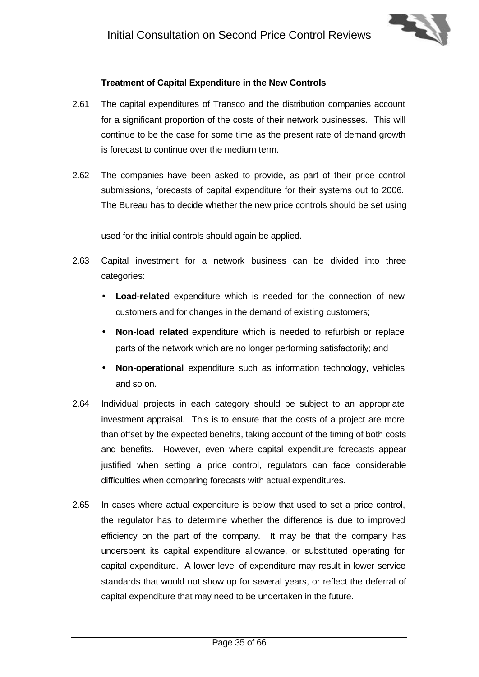

# **Treatment of Capital Expenditure in the New Controls**

- 2.61 The capital expenditures of Transco and the distribution companies account for a significant proportion of the costs of their network businesses. This will continue to be the case for some time as the present rate of demand growth is forecast to continue over the medium term.
- 2.62 The companies have been asked to provide, as part of their price control submissions, forecasts of capital expenditure for their systems out to 2006. The Bureau has to decide whether the new price controls should be set using

used for the initial controls should again be applied.

- 2.63 Capital investment for a network business can be divided into three categories:
	- **Load-related** expenditure which is needed for the connection of new customers and for changes in the demand of existing customers;
	- **Non-load related** expenditure which is needed to refurbish or replace parts of the network which are no longer performing satisfactorily; and
	- **Non-operational** expenditure such as information technology, vehicles and so on.
- 2.64 Individual projects in each category should be subject to an appropriate investment appraisal. This is to ensure that the costs of a project are more than offset by the expected benefits, taking account of the timing of both costs and benefits. However, even where capital expenditure forecasts appear justified when setting a price control, regulators can face considerable difficulties when comparing forecasts with actual expenditures.
- 2.65 In cases where actual expenditure is below that used to set a price control, the regulator has to determine whether the difference is due to improved efficiency on the part of the company. It may be that the company has underspent its capital expenditure allowance, or substituted operating for capital expenditure. A lower level of expenditure may result in lower service standards that would not show up for several years, or reflect the deferral of capital expenditure that may need to be undertaken in the future.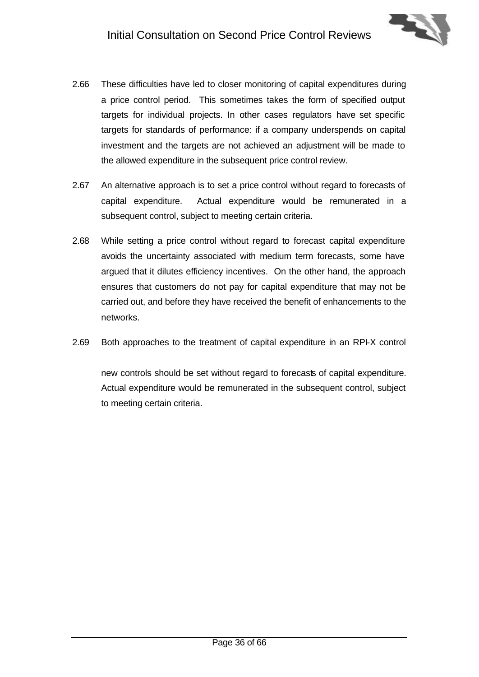

- 2.66 These difficulties have led to closer monitoring of capital expenditures during a price control period. This sometimes takes the form of specified output targets for individual projects. In other cases regulators have set specific targets for standards of performance: if a company underspends on capital investment and the targets are not achieved an adjustment will be made to the allowed expenditure in the subsequent price control review.
- 2.67 An alternative approach is to set a price control without regard to forecasts of capital expenditure. Actual expenditure would be remunerated in a subsequent control, subject to meeting certain criteria.
- 2.68 While setting a price control without regard to forecast capital expenditure avoids the uncertainty associated with medium term forecasts, some have argued that it dilutes efficiency incentives. On the other hand, the approach ensures that customers do not pay for capital expenditure that may not be carried out, and before they have received the benefit of enhancements to the networks.
- 2.69 Both approaches to the treatment of capital expenditure in an RPI-X control

new controls should be set without regard to forecasts of capital expenditure. Actual expenditure would be remunerated in the subsequent control, subject to meeting certain criteria.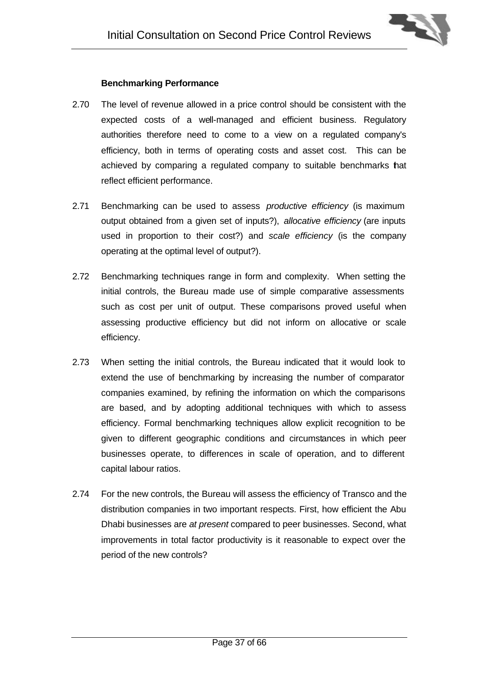

#### **Benchmarking Performance**

- 2.70 The level of revenue allowed in a price control should be consistent with the expected costs of a well-managed and efficient business. Regulatory authorities therefore need to come to a view on a regulated company's efficiency, both in terms of operating costs and asset cost. This can be achieved by comparing a regulated company to suitable benchmarks that reflect efficient performance.
- 2.71 Benchmarking can be used to assess *productive efficiency* (is maximum output obtained from a given set of inputs?), *allocative efficiency* (are inputs used in proportion to their cost?) and *scale efficiency* (is the company operating at the optimal level of output?).
- 2.72 Benchmarking techniques range in form and complexity. When setting the initial controls, the Bureau made use of simple comparative assessments such as cost per unit of output. These comparisons proved useful when assessing productive efficiency but did not inform on allocative or scale efficiency.
- 2.73 When setting the initial controls, the Bureau indicated that it would look to extend the use of benchmarking by increasing the number of comparator companies examined, by refining the information on which the comparisons are based, and by adopting additional techniques with which to assess efficiency. Formal benchmarking techniques allow explicit recognition to be given to different geographic conditions and circumstances in which peer businesses operate, to differences in scale of operation, and to different capital labour ratios.
- 2.74 For the new controls, the Bureau will assess the efficiency of Transco and the distribution companies in two important respects. First, how efficient the Abu Dhabi businesses are *at present* compared to peer businesses. Second, what improvements in total factor productivity is it reasonable to expect over the period of the new controls?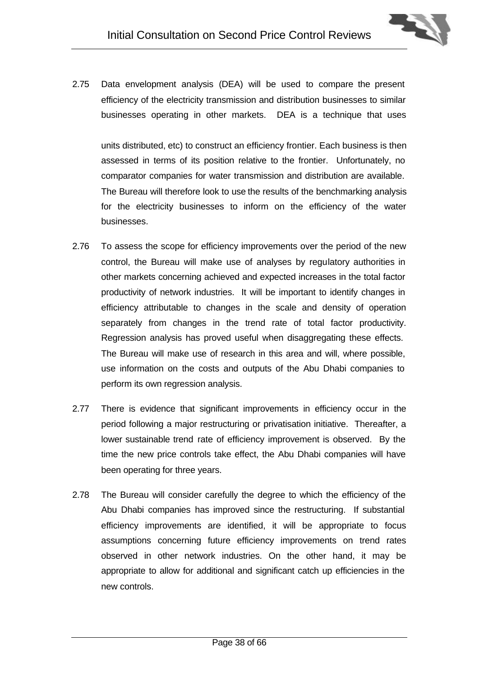

2.75 Data envelopment analysis (DEA) will be used to compare the present efficiency of the electricity transmission and distribution businesses to similar businesses operating in other markets. DEA is a technique that uses

units distributed, etc) to construct an efficiency frontier. Each business is then assessed in terms of its position relative to the frontier. Unfortunately, no comparator companies for water transmission and distribution are available. The Bureau will therefore look to use the results of the benchmarking analysis for the electricity businesses to inform on the efficiency of the water businesses.

- 2.76 To assess the scope for efficiency improvements over the period of the new control, the Bureau will make use of analyses by regulatory authorities in other markets concerning achieved and expected increases in the total factor productivity of network industries. It will be important to identify changes in efficiency attributable to changes in the scale and density of operation separately from changes in the trend rate of total factor productivity. Regression analysis has proved useful when disaggregating these effects. The Bureau will make use of research in this area and will, where possible, use information on the costs and outputs of the Abu Dhabi companies to perform its own regression analysis.
- 2.77 There is evidence that significant improvements in efficiency occur in the period following a major restructuring or privatisation initiative. Thereafter, a lower sustainable trend rate of efficiency improvement is observed. By the time the new price controls take effect, the Abu Dhabi companies will have been operating for three years.
- 2.78 The Bureau will consider carefully the degree to which the efficiency of the Abu Dhabi companies has improved since the restructuring. If substantial efficiency improvements are identified, it will be appropriate to focus assumptions concerning future efficiency improvements on trend rates observed in other network industries. On the other hand, it may be appropriate to allow for additional and significant catch up efficiencies in the new controls.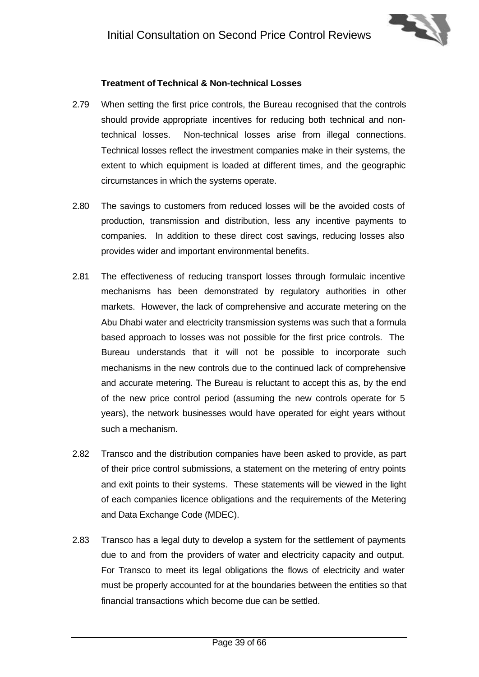

# **Treatment of Technical & Non-technical Losses**

- 2.79 When setting the first price controls, the Bureau recognised that the controls should provide appropriate incentives for reducing both technical and nontechnical losses. Non-technical losses arise from illegal connections. Technical losses reflect the investment companies make in their systems, the extent to which equipment is loaded at different times, and the geographic circumstances in which the systems operate.
- 2.80 The savings to customers from reduced losses will be the avoided costs of production, transmission and distribution, less any incentive payments to companies. In addition to these direct cost savings, reducing losses also provides wider and important environmental benefits.
- 2.81 The effectiveness of reducing transport losses through formulaic incentive mechanisms has been demonstrated by regulatory authorities in other markets. However, the lack of comprehensive and accurate metering on the Abu Dhabi water and electricity transmission systems was such that a formula based approach to losses was not possible for the first price controls. The Bureau understands that it will not be possible to incorporate such mechanisms in the new controls due to the continued lack of comprehensive and accurate metering. The Bureau is reluctant to accept this as, by the end of the new price control period (assuming the new controls operate for 5 years), the network businesses would have operated for eight years without such a mechanism.
- 2.82 Transco and the distribution companies have been asked to provide, as part of their price control submissions, a statement on the metering of entry points and exit points to their systems.These statements will be viewed in the light of each companies licence obligations and the requirements of the Metering and Data Exchange Code (MDEC).
- 2.83 Transco has a legal duty to develop a system for the settlement of payments due to and from the providers of water and electricity capacity and output. For Transco to meet its legal obligations the flows of electricity and water must be properly accounted for at the boundaries between the entities so that financial transactions which become due can be settled.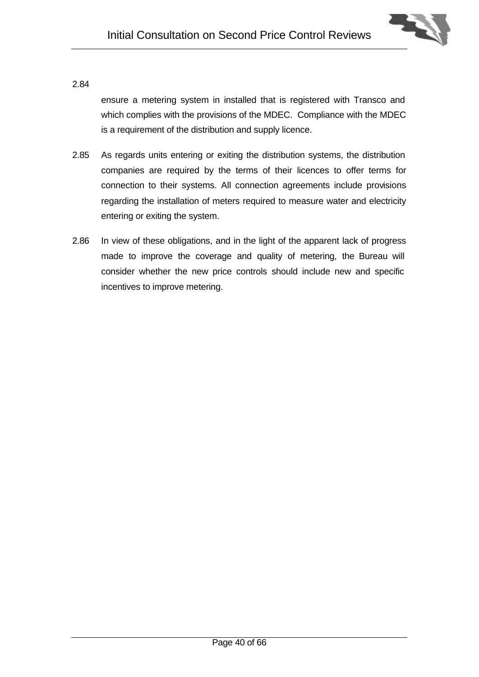

2.84

ensure a metering system in installed that is registered with Transco and which complies with the provisions of the MDEC. Compliance with the MDEC is a requirement of the distribution and supply licence.

- 2.85 As regards units entering or exiting the distribution systems, the distribution companies are required by the terms of their licences to offer terms for connection to their systems. All connection agreements include provisions regarding the installation of meters required to measure water and electricity entering or exiting the system.
- 2.86 In view of these obligations, and in the light of the apparent lack of progress made to improve the coverage and quality of metering, the Bureau will consider whether the new price controls should include new and specific incentives to improve metering.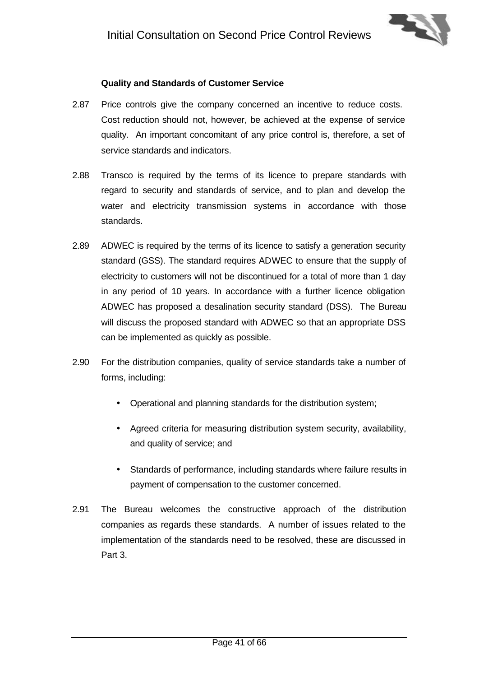

# **Quality and Standards of Customer Service**

- 2.87 Price controls give the company concerned an incentive to reduce costs. Cost reduction should not, however, be achieved at the expense of service quality. An important concomitant of any price control is, therefore, a set of service standards and indicators.
- 2.88 Transco is required by the terms of its licence to prepare standards with regard to security and standards of service, and to plan and develop the water and electricity transmission systems in accordance with those standards.
- 2.89 ADWEC is required by the terms of its licence to satisfy a generation security standard (GSS). The standard requires ADWEC to ensure that the supply of electricity to customers will not be discontinued for a total of more than 1 day in any period of 10 years. In accordance with a further licence obligation ADWEC has proposed a desalination security standard (DSS). The Bureau will discuss the proposed standard with ADWEC so that an appropriate DSS can be implemented as quickly as possible.
- 2.90 For the distribution companies, quality of service standards take a number of forms, including:
	- Operational and planning standards for the distribution system;
	- Agreed criteria for measuring distribution system security, availability, and quality of service; and
	- Standards of performance, including standards where failure results in payment of compensation to the customer concerned.
- 2.91 The Bureau welcomes the constructive approach of the distribution companies as regards these standards. A number of issues related to the implementation of the standards need to be resolved, these are discussed in Part 3.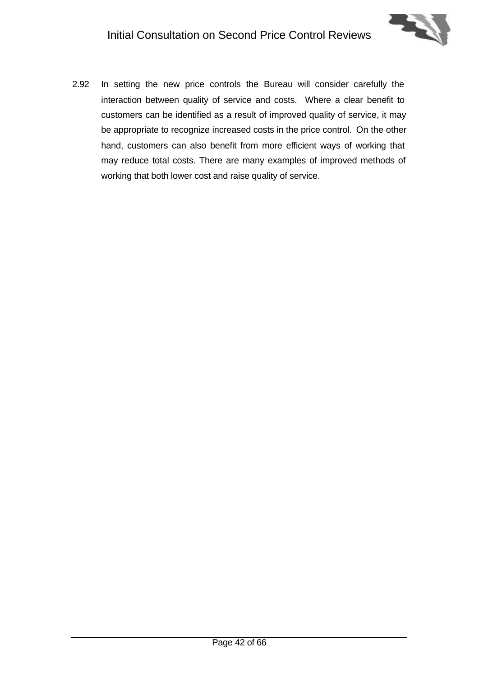

2.92 In setting the new price controls the Bureau will consider carefully the interaction between quality of service and costs. Where a clear benefit to customers can be identified as a result of improved quality of service, it may be appropriate to recognize increased costs in the price control. On the other hand, customers can also benefit from more efficient ways of working that may reduce total costs. There are many examples of improved methods of working that both lower cost and raise quality of service.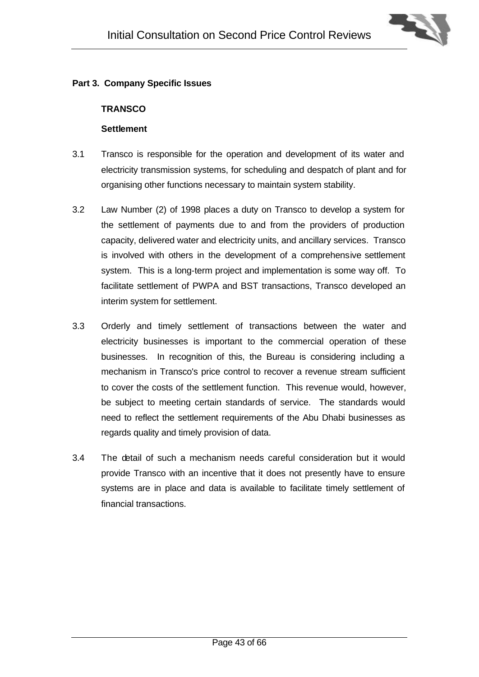

# **Part 3. Company Specific Issues**

# **TRANSCO**

# **Settlement**

- 3.1 Transco is responsible for the operation and development of its water and electricity transmission systems, for scheduling and despatch of plant and for organising other functions necessary to maintain system stability.
- 3.2 Law Number (2) of 1998 places a duty on Transco to develop a system for the settlement of payments due to and from the providers of production capacity, delivered water and electricity units, and ancillary services. Transco is involved with others in the development of a comprehensive settlement system. This is a long-term project and implementation is some way off. To facilitate settlement of PWPA and BST transactions, Transco developed an interim system for settlement.
- 3.3 Orderly and timely settlement of transactions between the water and electricity businesses is important to the commercial operation of these businesses. In recognition of this, the Bureau is considering including a mechanism in Transco's price control to recover a revenue stream sufficient to cover the costs of the settlement function. This revenue would, however, be subject to meeting certain standards of service. The standards would need to reflect the settlement requirements of the Abu Dhabi businesses as regards quality and timely provision of data.
- 3.4 The detail of such a mechanism needs careful consideration but it would provide Transco with an incentive that it does not presently have to ensure systems are in place and data is available to facilitate timely settlement of financial transactions.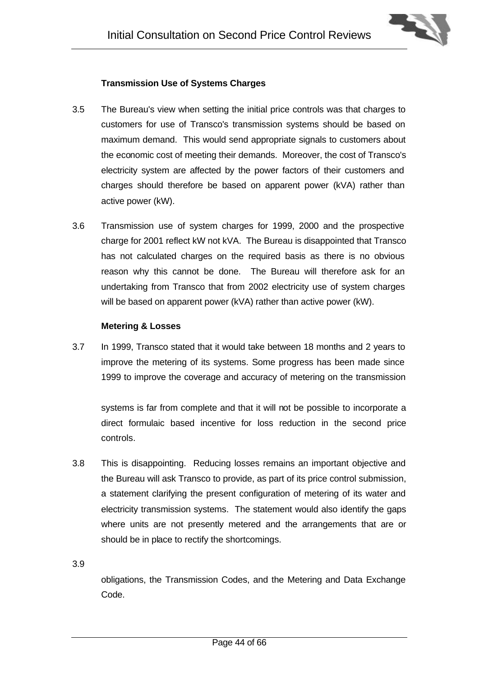

# **Transmission Use of Systems Charges**

- 3.5 The Bureau's view when setting the initial price controls was that charges to customers for use of Transco's transmission systems should be based on maximum demand. This would send appropriate signals to customers about the economic cost of meeting their demands. Moreover, the cost of Transco's electricity system are affected by the power factors of their customers and charges should therefore be based on apparent power (kVA) rather than active power (kW).
- 3.6 Transmission use of system charges for 1999, 2000 and the prospective charge for 2001 reflect kW not kVA. The Bureau is disappointed that Transco has not calculated charges on the required basis as there is no obvious reason why this cannot be done. The Bureau will therefore ask for an undertaking from Transco that from 2002 electricity use of system charges will be based on apparent power (kVA) rather than active power (kW).

#### **Metering & Losses**

3.7 In 1999, Transco stated that it would take between 18 months and 2 years to improve the metering of its systems. Some progress has been made since 1999 to improve the coverage and accuracy of metering on the transmission

systems is far from complete and that it will not be possible to incorporate a direct formulaic based incentive for loss reduction in the second price controls.

3.8 This is disappointing. Reducing losses remains an important objective and the Bureau will ask Transco to provide, as part of its price control submission, a statement clarifying the present configuration of metering of its water and electricity transmission systems. The statement would also identify the gaps where units are not presently metered and the arrangements that are or should be in place to rectify the shortcomings.

3.9

obligations, the Transmission Codes, and the Metering and Data Exchange Code.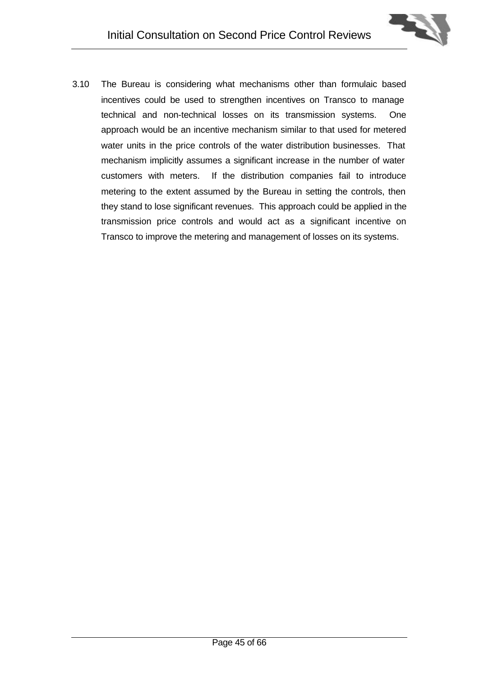

3.10 The Bureau is considering what mechanisms other than formulaic based incentives could be used to strengthen incentives on Transco to manage technical and non-technical losses on its transmission systems. One approach would be an incentive mechanism similar to that used for metered water units in the price controls of the water distribution businesses. That mechanism implicitly assumes a significant increase in the number of water customers with meters. If the distribution companies fail to introduce metering to the extent assumed by the Bureau in setting the controls, then they stand to lose significant revenues. This approach could be applied in the transmission price controls and would act as a significant incentive on Transco to improve the metering and management of losses on its systems.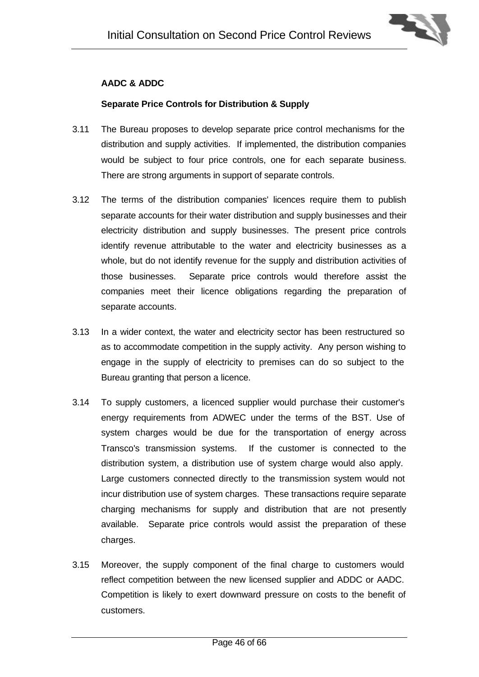

# **AADC & ADDC**

# **Separate Price Controls for Distribution & Supply**

- 3.11 The Bureau proposes to develop separate price control mechanisms for the distribution and supply activities. If implemented, the distribution companies would be subject to four price controls, one for each separate business. There are strong arguments in support of separate controls.
- 3.12 The terms of the distribution companies' licences require them to publish separate accounts for their water distribution and supply businesses and their electricity distribution and supply businesses. The present price controls identify revenue attributable to the water and electricity businesses as a whole, but do not identify revenue for the supply and distribution activities of those businesses. Separate price controls would therefore assist the companies meet their licence obligations regarding the preparation of separate accounts.
- 3.13 In a wider context, the water and electricity sector has been restructured so as to accommodate competition in the supply activity. Any person wishing to engage in the supply of electricity to premises can do so subject to the Bureau granting that person a licence.
- 3.14 To supply customers, a licenced supplier would purchase their customer's energy requirements from ADWEC under the terms of the BST. Use of system charges would be due for the transportation of energy across Transco's transmission systems. If the customer is connected to the distribution system, a distribution use of system charge would also apply. Large customers connected directly to the transmission system would not incur distribution use of system charges. These transactions require separate charging mechanisms for supply and distribution that are not presently available. Separate price controls would assist the preparation of these charges.
- 3.15 Moreover, the supply component of the final charge to customers would reflect competition between the new licensed supplier and ADDC or AADC. Competition is likely to exert downward pressure on costs to the benefit of customers.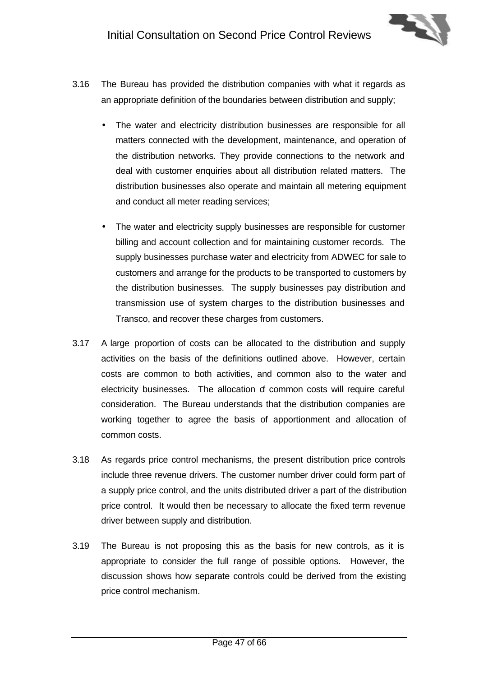

- 3.16 The Bureau has provided the distribution companies with what it regards as an appropriate definition of the boundaries between distribution and supply;
	- The water and electricity distribution businesses are responsible for all matters connected with the development, maintenance, and operation of the distribution networks. They provide connections to the network and deal with customer enquiries about all distribution related matters. The distribution businesses also operate and maintain all metering equipment and conduct all meter reading services;
	- The water and electricity supply businesses are responsible for customer billing and account collection and for maintaining customer records. The supply businesses purchase water and electricity from ADWEC for sale to customers and arrange for the products to be transported to customers by the distribution businesses. The supply businesses pay distribution and transmission use of system charges to the distribution businesses and Transco, and recover these charges from customers.
- 3.17 A large proportion of costs can be allocated to the distribution and supply activities on the basis of the definitions outlined above. However, certain costs are common to both activities, and common also to the water and electricity businesses. The allocation of common costs will require careful consideration. The Bureau understands that the distribution companies are working together to agree the basis of apportionment and allocation of common costs.
- 3.18 As regards price control mechanisms, the present distribution price controls include three revenue drivers. The customer number driver could form part of a supply price control, and the units distributed driver a part of the distribution price control. It would then be necessary to allocate the fixed term revenue driver between supply and distribution.
- 3.19 The Bureau is not proposing this as the basis for new controls, as it is appropriate to consider the full range of possible options. However, the discussion shows how separate controls could be derived from the existing price control mechanism.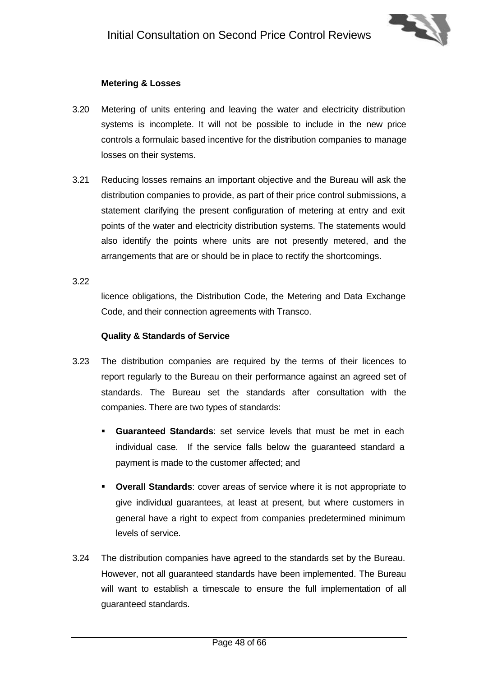

# **Metering & Losses**

- 3.20 Metering of units entering and leaving the water and electricity distribution systems is incomplete. It will not be possible to include in the new price controls a formulaic based incentive for the distribution companies to manage losses on their systems.
- 3.21 Reducing losses remains an important objective and the Bureau will ask the distribution companies to provide, as part of their price control submissions, a statement clarifying the present configuration of metering at entry and exit points of the water and electricity distribution systems. The statements would also identify the points where units are not presently metered, and the arrangements that are or should be in place to rectify the shortcomings.

3.22

licence obligations, the Distribution Code, the Metering and Data Exchange Code, and their connection agreements with Transco.

### **Quality & Standards of Service**

- 3.23 The distribution companies are required by the terms of their licences to report regularly to the Bureau on their performance against an agreed set of standards. The Bureau set the standards after consultation with the companies. There are two types of standards:
	- ß **Guaranteed Standards**: set service levels that must be met in each individual case. If the service falls below the guaranteed standard a payment is made to the customer affected; and
	- **Overall Standards:** cover areas of service where it is not appropriate to give individual guarantees, at least at present, but where customers in general have a right to expect from companies predetermined minimum levels of service.
- 3.24 The distribution companies have agreed to the standards set by the Bureau. However, not all guaranteed standards have been implemented. The Bureau will want to establish a timescale to ensure the full implementation of all guaranteed standards.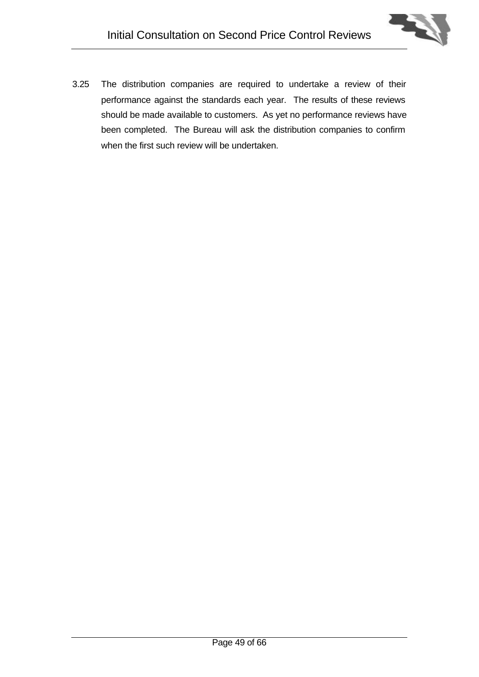

3.25 The distribution companies are required to undertake a review of their performance against the standards each year. The results of these reviews should be made available to customers. As yet no performance reviews have been completed. The Bureau will ask the distribution companies to confirm when the first such review will be undertaken.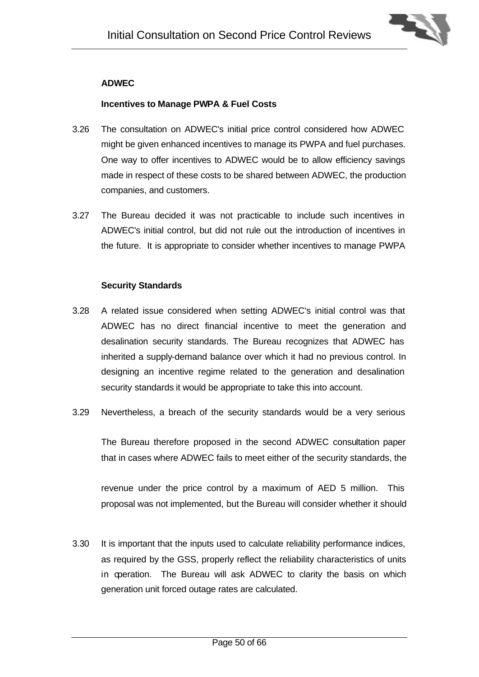

# **ADWEC**

# **Incentives to Manage PWPA & Fuel Costs**

- 3.26 The consultation on ADWEC's initial price control considered how ADWEC might be given enhanced incentives to manage its PWPA and fuel purchases. One way to offer incentives to ADWEC would be to allow efficiency savings made in respect of these costs to be shared between ADWEC, the production companies, and customers.
- 3.27 The Bureau decided it was not practicable to include such incentives in ADWEC's initial control, but did not rule out the introduction of incentives in the future. It is appropriate to consider whether incentives to manage PWPA

# **Security Standards**

- 3.28 A related issue considered when setting ADWEC's initial control was that ADWEC has no direct financial incentive to meet the generation and desalination security standards. The Bureau recognizes that ADWEC has inherited a supply-demand balance over which it had no previous control. In designing an incentive regime related to the generation and desalination security standards it would be appropriate to take this into account.
- 3.29 Nevertheless, a breach of the security standards would be a very serious

The Bureau therefore proposed in the second ADWEC consultation paper that in cases where ADWEC fails to meet either of the security standards, the

revenue under the price control by a maximum of AED 5 million. This proposal was not implemented, but the Bureau will consider whether it should

3.30 It is important that the inputs used to calculate reliability performance indices, as required by the GSS, properly reflect the reliability characteristics of units in operation. The Bureau will ask ADWEC to clarity the basis on which generation unit forced outage rates are calculated.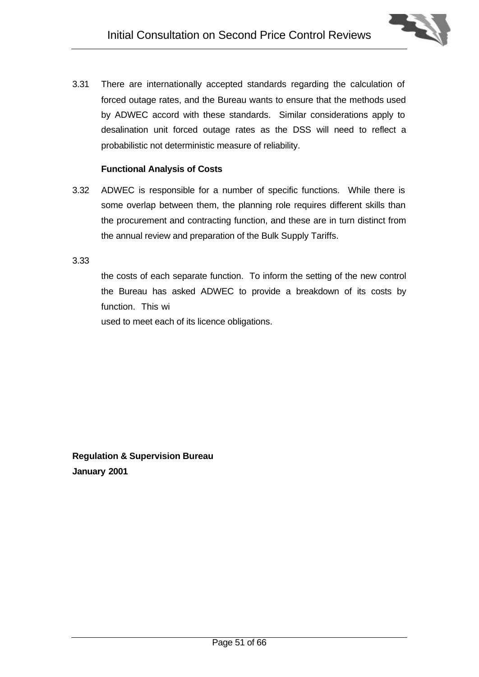

3.31 There are internationally accepted standards regarding the calculation of forced outage rates, and the Bureau wants to ensure that the methods used by ADWEC accord with these standards. Similar considerations apply to desalination unit forced outage rates as the DSS will need to reflect a probabilistic not deterministic measure of reliability.

#### **Functional Analysis of Costs**

3.32 ADWEC is responsible for a number of specific functions. While there is some overlap between them, the planning role requires different skills than the procurement and contracting function, and these are in turn distinct from the annual review and preparation of the Bulk Supply Tariffs.

3.33

the costs of each separate function. To inform the setting of the new control the Bureau has asked ADWEC to provide a breakdown of its costs by function. This wi

used to meet each of its licence obligations.

**Regulation & Supervision Bureau January 2001**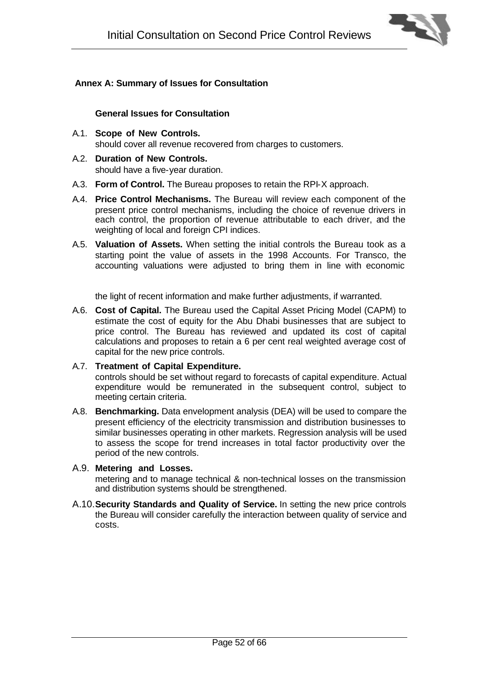

# **Annex A: Summary of Issues for Consultation**

#### **General Issues for Consultation**

- A.1. **Scope of New Controls.** should cover all revenue recovered from charges to customers.
- A.2. **Duration of New Controls.** should have a five-year duration.
- A.3. **Form of Control.** The Bureau proposes to retain the RPI-X approach.
- A.4. **Price Control Mechanisms.** The Bureau will review each component of the present price control mechanisms, including the choice of revenue drivers in each control, the proportion of revenue attributable to each driver, and the weighting of local and foreign CPI indices.
- A.5. **Valuation of Assets.** When setting the initial controls the Bureau took as a starting point the value of assets in the 1998 Accounts. For Transco, the accounting valuations were adjusted to bring them in line with economic

the light of recent information and make further adjustments, if warranted.

- A.6. **Cost of Capital.** The Bureau used the Capital Asset Pricing Model (CAPM) to estimate the cost of equity for the Abu Dhabi businesses that are subject to price control. The Bureau has reviewed and updated its cost of capital calculations and proposes to retain a 6 per cent real weighted average cost of capital for the new price controls.
- A.7. **Treatment of Capital Expenditure.** controls should be set without regard to forecasts of capital expenditure. Actual expenditure would be remunerated in the subsequent control, subject to meeting certain criteria.
- A.8. **Benchmarking.** Data envelopment analysis (DEA) will be used to compare the present efficiency of the electricity transmission and distribution businesses to similar businesses operating in other markets. Regression analysis will be used to assess the scope for trend increases in total factor productivity over the period of the new controls.

### A.9. **Metering and Losses.**

metering and to manage technical & non-technical losses on the transmission and distribution systems should be strengthened.

A.10.**Security Standards and Quality of Service.** In setting the new price controls the Bureau will consider carefully the interaction between quality of service and costs.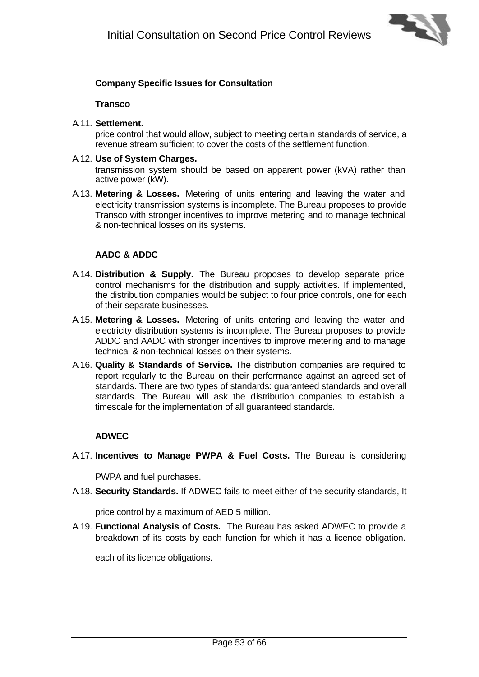

# **Company Specific Issues for Consultation**

#### **Transco**

#### A.11. **Settlement.**

price control that would allow, subject to meeting certain standards of service, a revenue stream sufficient to cover the costs of the settlement function.

#### A.12. **Use of System Charges.**

transmission system should be based on apparent power (kVA) rather than active power (kW).

A.13. **Metering & Losses.** Metering of units entering and leaving the water and electricity transmission systems is incomplete. The Bureau proposes to provide Transco with stronger incentives to improve metering and to manage technical & non-technical losses on its systems.

# **AADC & ADDC**

- A.14. **Distribution & Supply.** The Bureau proposes to develop separate price control mechanisms for the distribution and supply activities. If implemented, the distribution companies would be subject to four price controls, one for each of their separate businesses.
- A.15. **Metering & Losses.** Metering of units entering and leaving the water and electricity distribution systems is incomplete. The Bureau proposes to provide ADDC and AADC with stronger incentives to improve metering and to manage technical & non-technical losses on their systems.
- A.16. **Quality & Standards of Service.** The distribution companies are required to report regularly to the Bureau on their performance against an agreed set of standards. There are two types of standards: guaranteed standards and overall standards. The Bureau will ask the distribution companies to establish a timescale for the implementation of all guaranteed standards.

# **ADWEC**

A.17. **Incentives to Manage PWPA & Fuel Costs.** The Bureau is considering

PWPA and fuel purchases.

A.18. **Security Standards.** If ADWEC fails to meet either of the security standards, It

price control by a maximum of AED 5 million.

A.19. **Functional Analysis of Costs.** The Bureau has asked ADWEC to provide a breakdown of its costs by each function for which it has a licence obligation.

each of its licence obligations.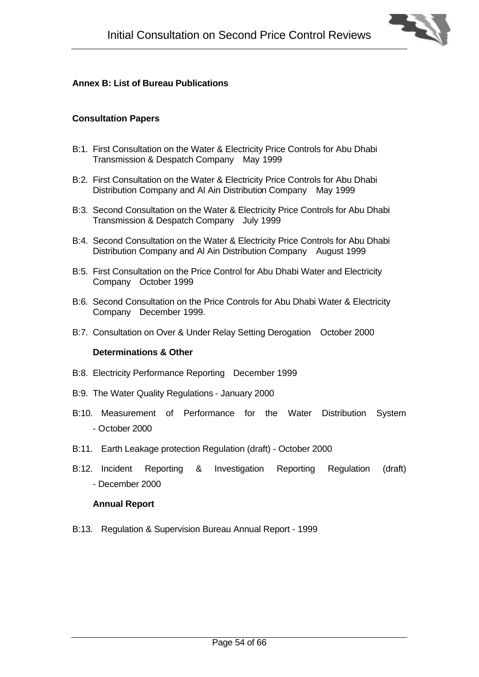

#### **Annex B: List of Bureau Publications**

#### **Consultation Papers**

- B:1. First Consultation on the Water & Electricity Price Controls for Abu Dhabi Transmission & Despatch Company May 1999
- B:2. First Consultation on the Water & Electricity Price Controls for Abu Dhabi Distribution Company and Al Ain Distribution Company May 1999
- B:3. Second Consultation on the Water & Electricity Price Controls for Abu Dhabi Transmission & Despatch Company July 1999
- B:4. Second Consultation on the Water & Electricity Price Controls for Abu Dhabi Distribution Company and Al Ain Distribution Company August 1999
- B:5. First Consultation on the Price Control for Abu Dhabi Water and Electricity Company October 1999
- B:6. Second Consultation on the Price Controls for Abu Dhabi Water & Electricity Company December 1999.
- B:7. Consultation on Over & Under Relay Setting Derogation October 2000

#### **Determinations & Other**

- B:8. Electricity Performance Reporting December 1999
- B:9. The Water Quality Regulations January 2000
- B:10. Measurement of Performance for the Water Distribution System - October 2000
- B:11. Earth Leakage protection Regulation (draft) October 2000
- B:12. Incident Reporting & Investigation Reporting Regulation (draft) - December 2000

#### **Annual Report**

B:13. Regulation & Supervision Bureau Annual Report - 1999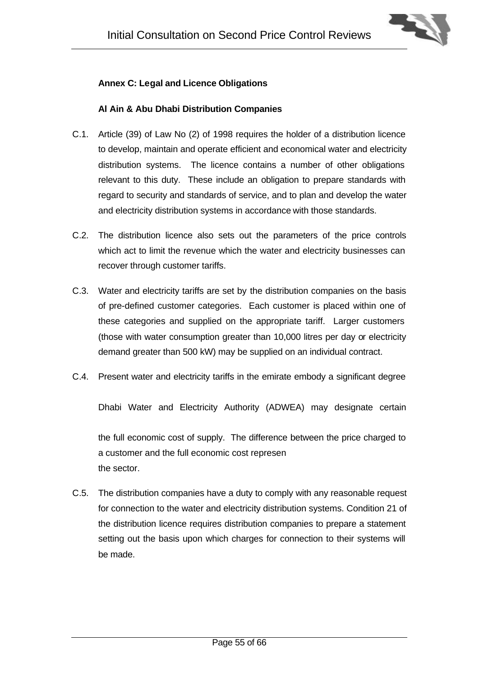

# **Annex C: Legal and Licence Obligations**

# **Al Ain & Abu Dhabi Distribution Companies**

- C.1. Article (39) of Law No (2) of 1998 requires the holder of a distribution licence to develop, maintain and operate efficient and economical water and electricity distribution systems. The licence contains a number of other obligations relevant to this duty. These include an obligation to prepare standards with regard to security and standards of service, and to plan and develop the water and electricity distribution systems in accordance with those standards.
- C.2. The distribution licence also sets out the parameters of the price controls which act to limit the revenue which the water and electricity businesses can recover through customer tariffs.
- C.3. Water and electricity tariffs are set by the distribution companies on the basis of pre-defined customer categories. Each customer is placed within one of these categories and supplied on the appropriate tariff. Larger customers (those with water consumption greater than 10,000 litres per day or electricity demand greater than 500 kW) may be supplied on an individual contract.
- C.4. Present water and electricity tariffs in the emirate embody a significant degree

Dhabi Water and Electricity Authority (ADWEA) may designate certain

the full economic cost of supply. The difference between the price charged to a customer and the full economic cost represen the sector.

C.5. The distribution companies have a duty to comply with any reasonable request for connection to the water and electricity distribution systems. Condition 21 of the distribution licence requires distribution companies to prepare a statement setting out the basis upon which charges for connection to their systems will be made.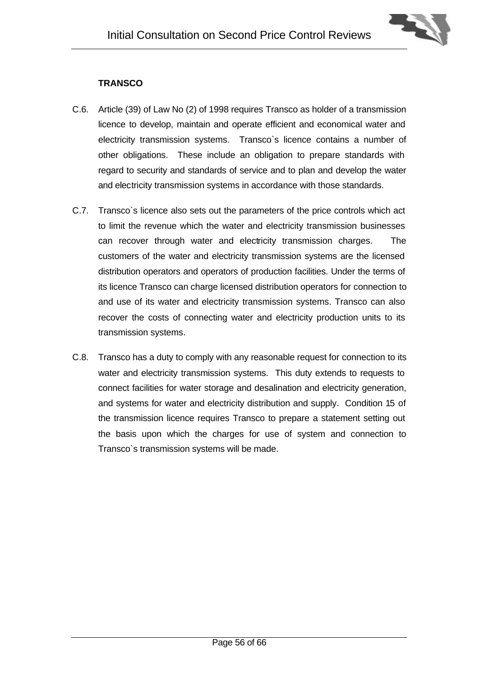

# **TRANSCO**

- C.6. Article (39) of Law No (2) of 1998 requires Transco as holder of a transmission licence to develop, maintain and operate efficient and economical water and electricity transmission systems. Transco`s licence contains a number of other obligations. These include an obligation to prepare standards with regard to security and standards of service and to plan and develop the water and electricity transmission systems in accordance with those standards.
- C.7. Transco`s licence also sets out the parameters of the price controls which act to limit the revenue which the water and electricity transmission businesses can recover through water and electricity transmission charges. The customers of the water and electricity transmission systems are the licensed distribution operators and operators of production facilities. Under the terms of its licence Transco can charge licensed distribution operators for connection to and use of its water and electricity transmission systems. Transco can also recover the costs of connecting water and electricity production units to its transmission systems.
- C.8. Transco has a duty to comply with any reasonable request for connection to its water and electricity transmission systems. This duty extends to requests to connect facilities for water storage and desalination and electricity generation, and systems for water and electricity distribution and supply. Condition 15 of the transmission licence requires Transco to prepare a statement setting out the basis upon which the charges for use of system and connection to Transco`s transmission systems will be made.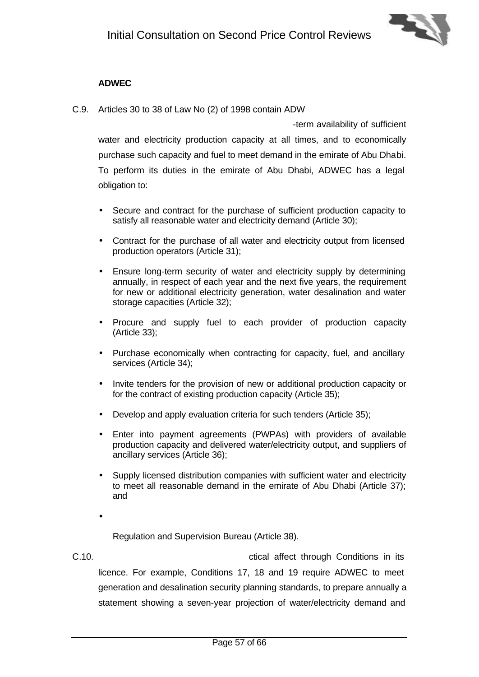

# **ADWEC**

C.9. Articles 30 to 38 of Law No (2) of 1998 contain ADW

-term availability of sufficient water and electricity production capacity at all times, and to economically purchase such capacity and fuel to meet demand in the emirate of Abu Dhabi. To perform its duties in the emirate of Abu Dhabi, ADWEC has a legal obligation to:

- Secure and contract for the purchase of sufficient production capacity to satisfy all reasonable water and electricity demand (Article 30);
- Contract for the purchase of all water and electricity output from licensed production operators (Article 31);
- Ensure long-term security of water and electricity supply by determining annually, in respect of each year and the next five years, the requirement for new or additional electricity generation, water desalination and water storage capacities (Article 32);
- Procure and supply fuel to each provider of production capacity (Article 33);
- Purchase economically when contracting for capacity, fuel, and ancillary services (Article 34);
- Invite tenders for the provision of new or additional production capacity or for the contract of existing production capacity (Article 35);
- Develop and apply evaluation criteria for such tenders (Article 35);
- Enter into payment agreements (PWPAs) with providers of available production capacity and delivered water/electricity output, and suppliers of ancillary services (Article 36);
- Supply licensed distribution companies with sufficient water and electricity to meet all reasonable demand in the emirate of Abu Dhabi (Article 37); and

Regulation and Supervision Bureau (Article 38).

C.10. C.10. licence. For example, Conditions 17, 18 and 19 require ADWEC to meet generation and desalination security planning standards, to prepare annually a statement showing a seven-year projection of water/electricity demand and

<sup>•</sup>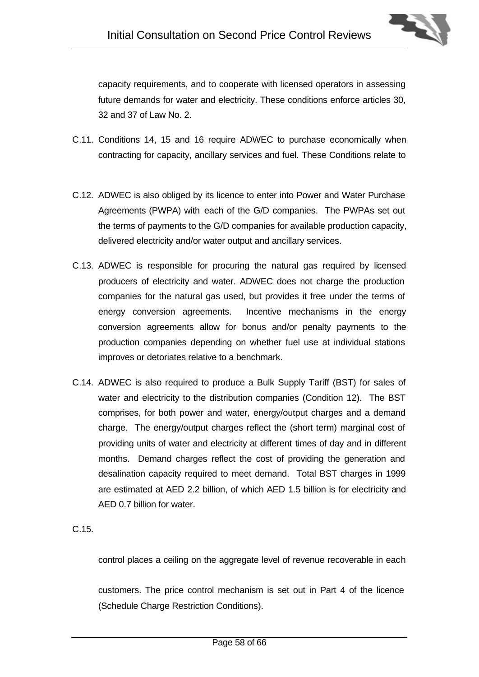

capacity requirements, and to cooperate with licensed operators in assessing future demands for water and electricity. These conditions enforce articles 30, 32 and 37 of Law No. 2.

- C.11. Conditions 14, 15 and 16 require ADWEC to purchase economically when contracting for capacity, ancillary services and fuel. These Conditions relate to
- C.12. ADWEC is also obliged by its licence to enter into Power and Water Purchase Agreements (PWPA) with each of the G/D companies. The PWPAs set out the terms of payments to the G/D companies for available production capacity, delivered electricity and/or water output and ancillary services.
- C.13. ADWEC is responsible for procuring the natural gas required by licensed producers of electricity and water. ADWEC does not charge the production companies for the natural gas used, but provides it free under the terms of energy conversion agreements. Incentive mechanisms in the energy conversion agreements allow for bonus and/or penalty payments to the production companies depending on whether fuel use at individual stations improves or detoriates relative to a benchmark.
- C.14. ADWEC is also required to produce a Bulk Supply Tariff (BST) for sales of water and electricity to the distribution companies (Condition 12). The BST comprises, for both power and water, energy/output charges and a demand charge. The energy/output charges reflect the (short term) marginal cost of providing units of water and electricity at different times of day and in different months. Demand charges reflect the cost of providing the generation and desalination capacity required to meet demand. Total BST charges in 1999 are estimated at AED 2.2 billion, of which AED 1.5 billion is for electricity and AED 0.7 billion for water.

C.15.

control places a ceiling on the aggregate level of revenue recoverable in each

customers. The price control mechanism is set out in Part 4 of the licence (Schedule Charge Restriction Conditions).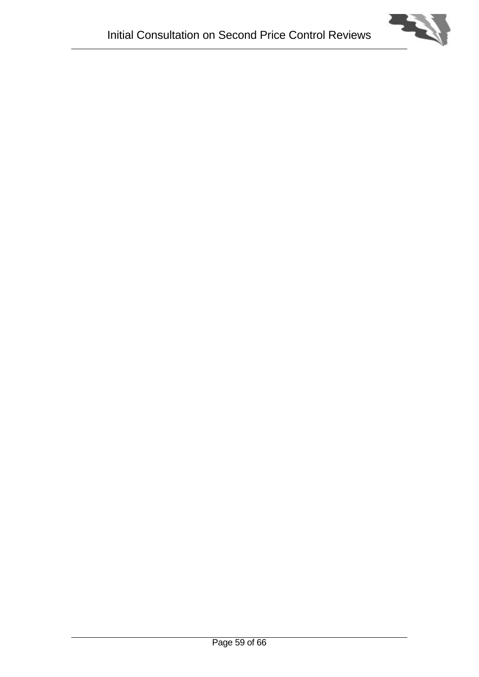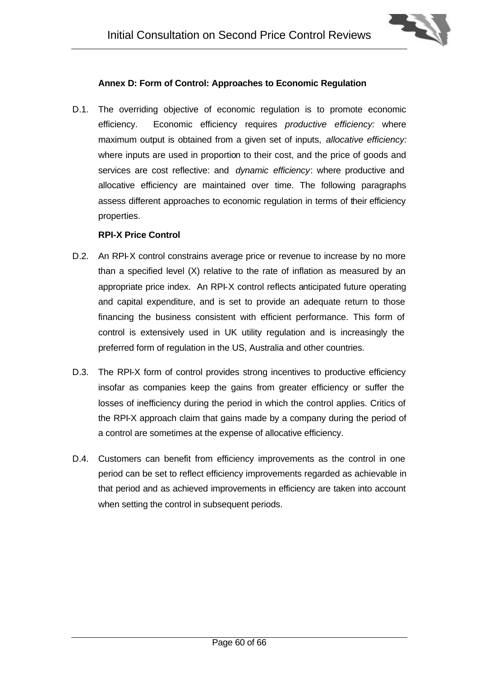

# **Annex D: Form of Control: Approaches to Economic Regulation**

D.1. The overriding objective of economic regulation is to promote economic efficiency. Economic efficiency requires *productive efficiency:* where maximum output is obtained from a given set of inputs, *allocative efficiency:* where inputs are used in proportion to their cost, and the price of goods and services are cost reflective: and *dynamic efficiency*: where productive and allocative efficiency are maintained over time. The following paragraphs assess different approaches to economic regulation in terms of their efficiency properties.

# **RPI-X Price Control**

- D.2. An RPI-X control constrains average price or revenue to increase by no more than a specified level (X) relative to the rate of inflation as measured by an appropriate price index. An RPI-X control reflects anticipated future operating and capital expenditure, and is set to provide an adequate return to those financing the business consistent with efficient performance. This form of control is extensively used in UK utility regulation and is increasingly the preferred form of regulation in the US, Australia and other countries.
- D.3. The RPI-X form of control provides strong incentives to productive efficiency insofar as companies keep the gains from greater efficiency or suffer the losses of inefficiency during the period in which the control applies. Critics of the RPI-X approach claim that gains made by a company during the period of a control are sometimes at the expense of allocative efficiency.
- D.4. Customers can benefit from efficiency improvements as the control in one period can be set to reflect efficiency improvements regarded as achievable in that period and as achieved improvements in efficiency are taken into account when setting the control in subsequent periods.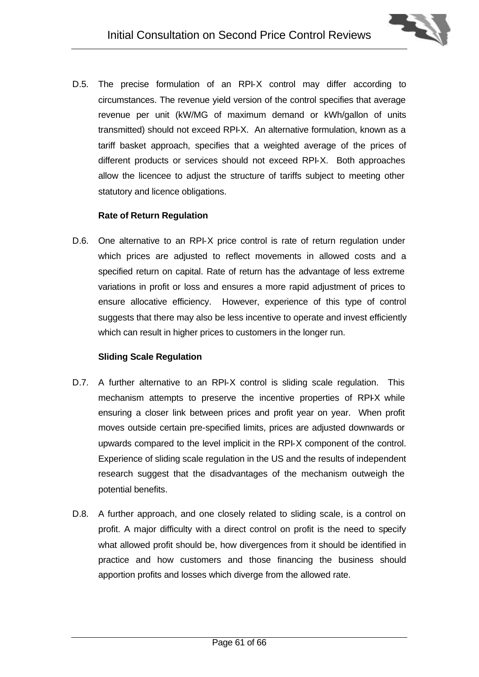

D.5. The precise formulation of an RPI-X control may differ according to circumstances. The revenue yield version of the control specifies that average revenue per unit (kW/MG of maximum demand or kWh/gallon of units transmitted) should not exceed RPI-X. An alternative formulation, known as a tariff basket approach, specifies that a weighted average of the prices of different products or services should not exceed RPI-X. Both approaches allow the licencee to adjust the structure of tariffs subject to meeting other statutory and licence obligations.

# **Rate of Return Regulation**

D.6. One alternative to an RPI-X price control is rate of return regulation under which prices are adjusted to reflect movements in allowed costs and a specified return on capital. Rate of return has the advantage of less extreme variations in profit or loss and ensures a more rapid adjustment of prices to ensure allocative efficiency. However, experience of this type of control suggests that there may also be less incentive to operate and invest efficiently which can result in higher prices to customers in the longer run.

# **Sliding Scale Regulation**

- D.7. A further alternative to an RPI-X control is sliding scale regulation. This mechanism attempts to preserve the incentive properties of RPI-X while ensuring a closer link between prices and profit year on year. When profit moves outside certain pre-specified limits, prices are adjusted downwards or upwards compared to the level implicit in the RPI-X component of the control. Experience of sliding scale regulation in the US and the results of independent research suggest that the disadvantages of the mechanism outweigh the potential benefits.
- D.8. A further approach, and one closely related to sliding scale, is a control on profit. A major difficulty with a direct control on profit is the need to specify what allowed profit should be, how divergences from it should be identified in practice and how customers and those financing the business should apportion profits and losses which diverge from the allowed rate.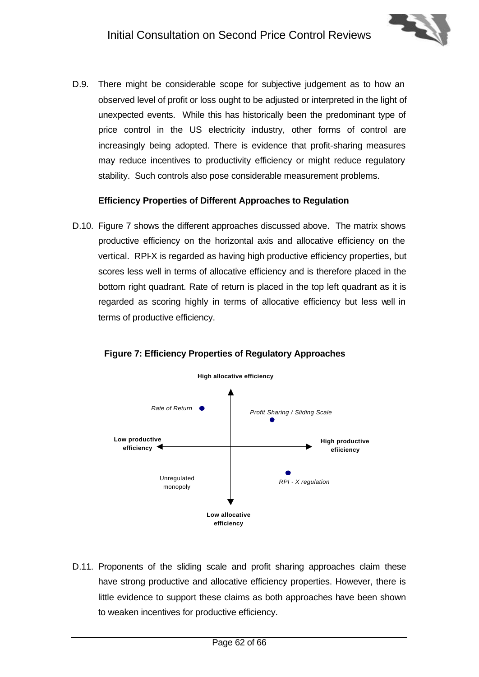

D.9. There might be considerable scope for subjective judgement as to how an observed level of profit or loss ought to be adjusted or interpreted in the light of unexpected events. While this has historically been the predominant type of price control in the US electricity industry, other forms of control are increasingly being adopted. There is evidence that profit-sharing measures may reduce incentives to productivity efficiency or might reduce regulatory stability. Such controls also pose considerable measurement problems.

# **Efficiency Properties of Different Approaches to Regulation**

D.10. Figure 7 shows the different approaches discussed above. The matrix shows productive efficiency on the horizontal axis and allocative efficiency on the vertical. RPI-X is regarded as having high productive efficiency properties, but scores less well in terms of allocative efficiency and is therefore placed in the bottom right quadrant. Rate of return is placed in the top left quadrant as it is regarded as scoring highly in terms of allocative efficiency but less well in terms of productive efficiency.



**Figure 7: Efficiency Properties of Regulatory Approaches**

D.11. Proponents of the sliding scale and profit sharing approaches claim these have strong productive and allocative efficiency properties. However, there is little evidence to support these claims as both approaches have been shown to weaken incentives for productive efficiency.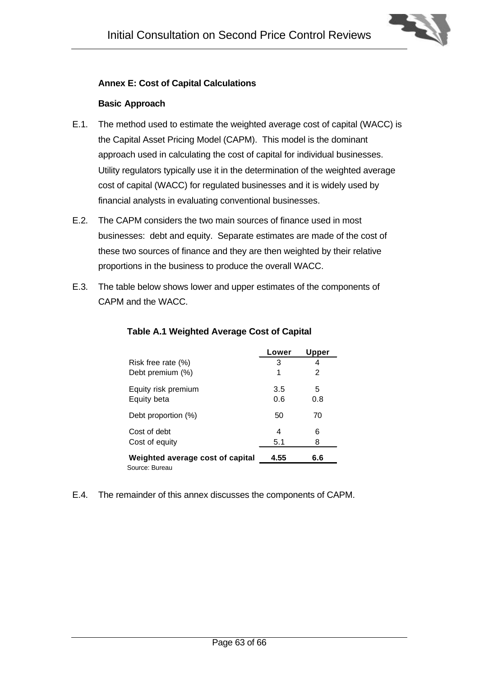

# **Annex E: Cost of Capital Calculations**

# **Basic Approach**

- E.1. The method used to estimate the weighted average cost of capital (WACC) is the Capital Asset Pricing Model (CAPM). This model is the dominant approach used in calculating the cost of capital for individual businesses. Utility regulators typically use it in the determination of the weighted average cost of capital (WACC) for regulated businesses and it is widely used by financial analysts in evaluating conventional businesses.
- E.2. The CAPM considers the two main sources of finance used in most businesses: debt and equity. Separate estimates are made of the cost of these two sources of finance and they are then weighted by their relative proportions in the business to produce the overall WACC.
- E.3. The table below shows lower and upper estimates of the components of CAPM and the WACC.

|                                  | Lower | Upper |
|----------------------------------|-------|-------|
| Risk free rate (%)               | 3     | 4     |
| Debt premium (%)                 | 1     | 2     |
| Equity risk premium              | 3.5   | 5     |
| Equity beta                      | 0.6   | 0.8   |
| Debt proportion (%)              | 50    | 70    |
| Cost of debt                     | 4     | 6     |
| Cost of equity                   | 5.1   | 8     |
| Weighted average cost of capital | 4.55  | 6.6   |
| Source: Bureau                   |       |       |

# **Table A.1 Weighted Average Cost of Capital**

E.4. The remainder of this annex discusses the components of CAPM.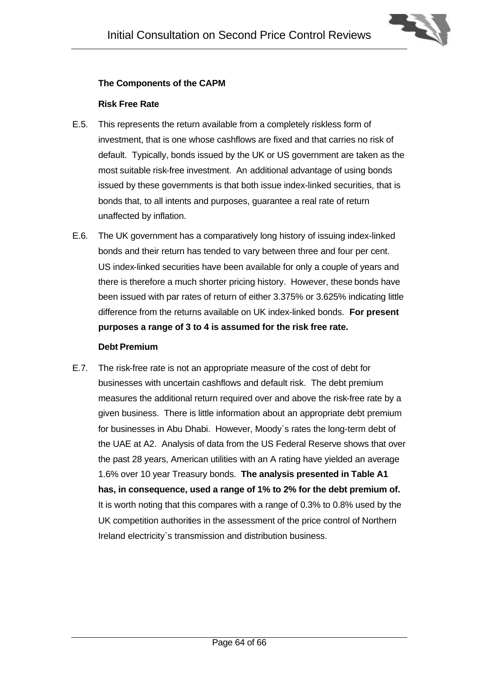

# **The Components of the CAPM**

# **Risk Free Rate**

- E.5. This represents the return available from a completely riskless form of investment, that is one whose cashflows are fixed and that carries no risk of default. Typically, bonds issued by the UK or US government are taken as the most suitable risk-free investment. An additional advantage of using bonds issued by these governments is that both issue index-linked securities, that is bonds that, to all intents and purposes, guarantee a real rate of return unaffected by inflation.
- E.6. The UK government has a comparatively long history of issuing index-linked bonds and their return has tended to vary between three and four per cent. US index-linked securities have been available for only a couple of years and there is therefore a much shorter pricing history. However, these bonds have been issued with par rates of return of either 3.375% or 3.625% indicating little difference from the returns available on UK index-linked bonds. **For present purposes a range of 3 to 4 is assumed for the risk free rate.**

#### **Debt Premium**

E.7. The risk-free rate is not an appropriate measure of the cost of debt for businesses with uncertain cashflows and default risk. The debt premium measures the additional return required over and above the risk-free rate by a given business. There is little information about an appropriate debt premium for businesses in Abu Dhabi. However, Moody`s rates the long-term debt of the UAE at A2. Analysis of data from the US Federal Reserve shows that over the past 28 years, American utilities with an A rating have yielded an average 1.6% over 10 year Treasury bonds. **The analysis presented in Table A1 has, in consequence, used a range of 1% to 2% for the debt premium of.**  It is worth noting that this compares with a range of 0.3% to 0.8% used by the UK competition authorities in the assessment of the price control of Northern Ireland electricity`s transmission and distribution business.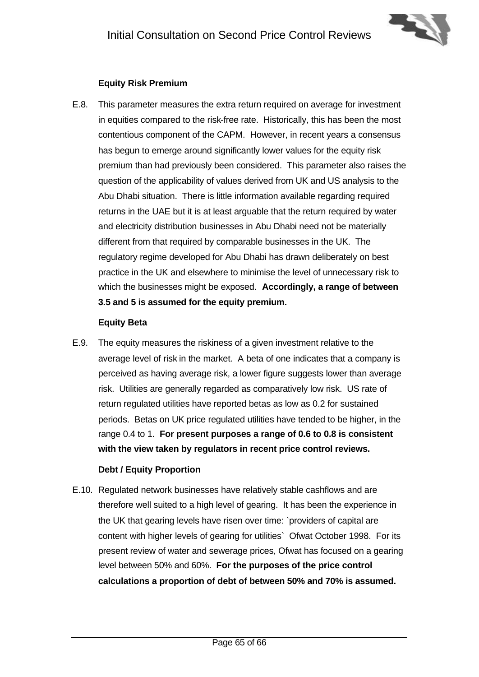

# **Equity Risk Premium**

E.8. This parameter measures the extra return required on average for investment in equities compared to the risk-free rate. Historically, this has been the most contentious component of the CAPM. However, in recent years a consensus has begun to emerge around significantly lower values for the equity risk premium than had previously been considered. This parameter also raises the question of the applicability of values derived from UK and US analysis to the Abu Dhabi situation. There is little information available regarding required returns in the UAE but it is at least arguable that the return required by water and electricity distribution businesses in Abu Dhabi need not be materially different from that required by comparable businesses in the UK. The regulatory regime developed for Abu Dhabi has drawn deliberately on best practice in the UK and elsewhere to minimise the level of unnecessary risk to which the businesses might be exposed. **Accordingly, a range of between 3.5 and 5 is assumed for the equity premium.** 

# **Equity Beta**

E.9. The equity measures the riskiness of a given investment relative to the average level of risk in the market. A beta of one indicates that a company is perceived as having average risk, a lower figure suggests lower than average risk. Utilities are generally regarded as comparatively low risk. US rate of return regulated utilities have reported betas as low as 0.2 for sustained periods. Betas on UK price regulated utilities have tended to be higher, in the range 0.4 to 1. **For present purposes a range of 0.6 to 0.8 is consistent with the view taken by regulators in recent price control reviews.**

# **Debt / Equity Proportion**

E.10. Regulated network businesses have relatively stable cashflows and are therefore well suited to a high level of gearing. It has been the experience in the UK that gearing levels have risen over time: `providers of capital are content with higher levels of gearing for utilities` Ofwat October 1998. For its present review of water and sewerage prices, Ofwat has focused on a gearing level between 50% and 60%. **For the purposes of the price control calculations a proportion of debt of between 50% and 70% is assumed.**